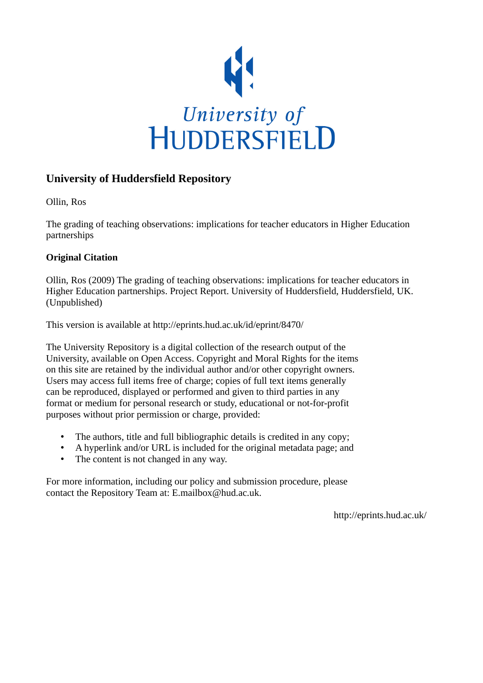

# **University of Huddersfield Repository**

Ollin, Ros

The grading of teaching observations: implications for teacher educators in Higher Education partnerships

# **Original Citation**

Ollin, Ros (2009) The grading of teaching observations: implications for teacher educators in Higher Education partnerships. Project Report. University of Huddersfield, Huddersfield, UK. (Unpublished)

This version is available at http://eprints.hud.ac.uk/id/eprint/8470/

The University Repository is a digital collection of the research output of the University, available on Open Access. Copyright and Moral Rights for the items on this site are retained by the individual author and/or other copyright owners. Users may access full items free of charge; copies of full text items generally can be reproduced, displayed or performed and given to third parties in any format or medium for personal research or study, educational or not-for-profit purposes without prior permission or charge, provided:

- The authors, title and full bibliographic details is credited in any copy;
- A hyperlink and/or URL is included for the original metadata page; and
- The content is not changed in any way.

For more information, including our policy and submission procedure, please contact the Repository Team at: E.mailbox@hud.ac.uk.

http://eprints.hud.ac.uk/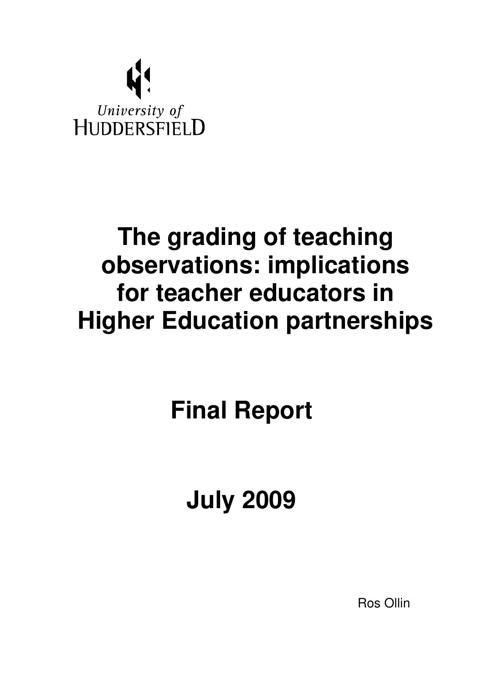

# **The grading of teaching observations: implications for teacher educators in Higher Education partnerships**

**Final Report** 

**July 2009** 

Ros Ollin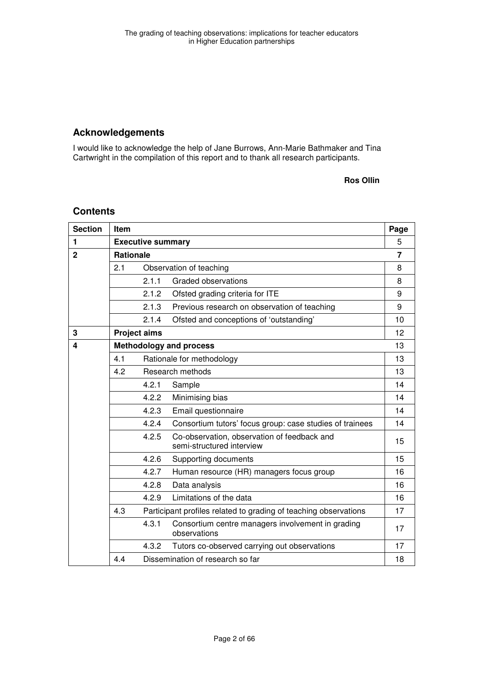# **Acknowledgements**

I would like to acknowledge the help of Jane Burrows, Ann-Marie Bathmaker and Tina Cartwright in the compilation of this report and to thank all research participants.

#### **Ros Ollin**

## **Contents**

| <b>Section</b> | <b>Item</b>              |                     |                                                                          | Page |
|----------------|--------------------------|---------------------|--------------------------------------------------------------------------|------|
| 1              | <b>Executive summary</b> |                     |                                                                          | 5    |
| $\mathbf{2}$   |                          | <b>Rationale</b>    |                                                                          | 7    |
|                | 2.1                      |                     | Observation of teaching                                                  | 8    |
|                |                          | 2.1.1               | <b>Graded observations</b>                                               | 8    |
|                |                          | 2.1.2               | Ofsted grading criteria for ITE                                          | 9    |
|                |                          | 2.1.3               | Previous research on observation of teaching                             | 9    |
|                |                          | 2.1.4               | Ofsted and conceptions of 'outstanding'                                  | 10   |
| 3              |                          | <b>Project aims</b> |                                                                          | 12   |
| 4              |                          |                     | <b>Methodology and process</b>                                           | 13   |
|                | 4.1                      |                     | Rationale for methodology                                                | 13   |
|                | 4.2                      |                     | Research methods                                                         | 13   |
|                |                          | 4.2.1               | Sample                                                                   | 14   |
|                |                          | 4.2.2               | Minimising bias                                                          | 14   |
|                |                          | 4.2.3               | Email questionnaire                                                      | 14   |
|                |                          | 4.2.4               | Consortium tutors' focus group: case studies of trainees                 | 14   |
|                |                          | 4.2.5               | Co-observation, observation of feedback and<br>semi-structured interview | 15   |
|                |                          | 4.2.6               | Supporting documents                                                     | 15   |
|                |                          | 4.2.7               | Human resource (HR) managers focus group                                 | 16   |
|                |                          | 4.2.8               | Data analysis                                                            | 16   |
|                |                          | 4.2.9               | Limitations of the data                                                  | 16   |
|                | 4.3                      |                     | Participant profiles related to grading of teaching observations         | 17   |
|                |                          | 4.3.1               | Consortium centre managers involvement in grading<br>observations        | 17   |
|                |                          | 4.3.2               | Tutors co-observed carrying out observations                             | 17   |
|                | 4.4                      |                     | Dissemination of research so far                                         | 18   |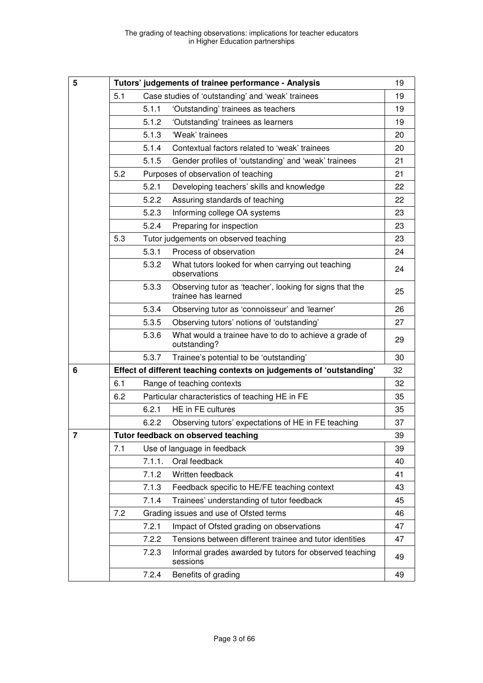| 5              |     |        | Tutors' judgements of trainee performance - Analysis                            | 19 |
|----------------|-----|--------|---------------------------------------------------------------------------------|----|
|                | 5.1 |        | Case studies of 'outstanding' and 'weak' trainees                               | 19 |
|                |     | 5.1.1  | 'Outstanding' trainees as teachers                                              | 19 |
|                |     | 5.1.2  | 'Outstanding' trainees as learners                                              | 19 |
|                |     | 5.1.3  | 'Weak' trainees                                                                 | 20 |
|                |     | 5.1.4  | Contextual factors related to 'weak' trainees                                   | 20 |
|                |     | 5.1.5  | Gender profiles of 'outstanding' and 'weak' trainees                            | 21 |
|                | 5.2 |        | Purposes of observation of teaching                                             | 21 |
|                |     | 5.2.1  | Developing teachers' skills and knowledge                                       | 22 |
|                |     | 5.2.2  | Assuring standards of teaching                                                  | 22 |
|                |     | 5.2.3  | Informing college OA systems                                                    | 23 |
|                |     | 5.2.4  | Preparing for inspection                                                        | 23 |
|                | 5.3 |        | Tutor judgements on observed teaching                                           | 23 |
|                |     | 5.3.1  | Process of observation                                                          | 24 |
|                |     | 5.3.2  | What tutors looked for when carrying out teaching<br>observations               | 24 |
|                |     | 5.3.3  | Observing tutor as 'teacher', looking for signs that the<br>trainee has learned | 25 |
|                |     | 5.3.4  | Observing tutor as 'connoisseur' and 'learner'                                  | 26 |
|                |     | 5.3.5  | Observing tutors' notions of 'outstanding'                                      | 27 |
|                |     | 5.3.6  | What would a trainee have to do to achieve a grade of<br>outstanding?           | 29 |
|                |     | 5.3.7  | Trainee's potential to be 'outstanding'                                         | 30 |
| 6              |     |        | Effect of different teaching contexts on judgements of 'outstanding'            | 32 |
|                | 6.1 |        | Range of teaching contexts                                                      | 32 |
|                | 6.2 |        | Particular characteristics of teaching HE in FE                                 | 35 |
|                |     | 6.2.1  | HE in FE cultures                                                               | 35 |
|                |     | 6.2.2  | Observing tutors' expectations of HE in FE teaching                             | 37 |
| $\overline{7}$ |     |        | Tutor feedback on observed teaching                                             | 39 |
|                | 7.1 |        | Use of language in feedback                                                     | 39 |
|                |     | 7.1.1. | Oral feedback                                                                   | 40 |
|                |     | 7.1.2  | Written feedback                                                                | 41 |
|                |     | 7.1.3  | Feedback specific to HE/FE teaching context                                     | 43 |
|                |     | 7.1.4  | Trainees' understanding of tutor feedback                                       | 45 |
|                | 7.2 |        | Grading issues and use of Ofsted terms                                          | 46 |
|                |     | 7.2.1  | Impact of Ofsted grading on observations                                        | 47 |
|                |     | 7.2.2  | Tensions between different trainee and tutor identities                         | 47 |
|                |     | 7.2.3  | Informal grades awarded by tutors for observed teaching<br>sessions             | 49 |
|                |     | 7.2.4  | Benefits of grading                                                             | 49 |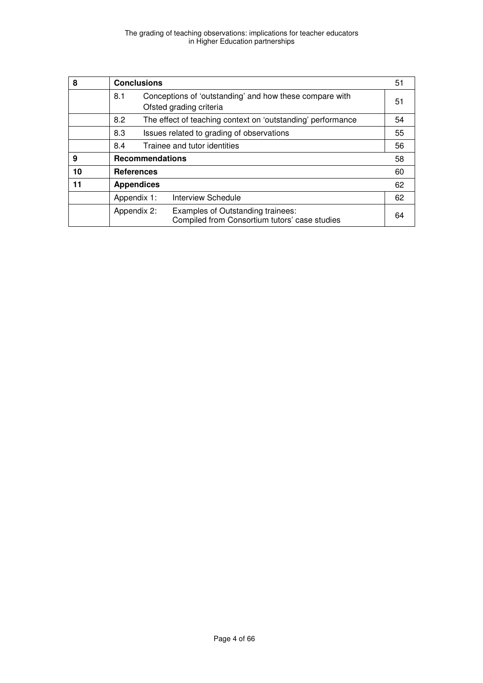| 8  |     | <b>Conclusions</b>     |                                                                                    | 51 |
|----|-----|------------------------|------------------------------------------------------------------------------------|----|
|    | 8.1 |                        | Conceptions of 'outstanding' and how these compare with<br>Ofsted grading criteria | 51 |
|    | 8.2 |                        | The effect of teaching context on 'outstanding' performance                        | 54 |
|    | 8.3 |                        | Issues related to grading of observations                                          | 55 |
|    | 8.4 |                        | Trainee and tutor identities                                                       | 56 |
| 9  |     | <b>Recommendations</b> |                                                                                    | 58 |
| 10 |     | <b>References</b>      |                                                                                    | 60 |
| 11 |     | <b>Appendices</b>      |                                                                                    | 62 |
|    |     | Appendix 1:            | <b>Interview Schedule</b>                                                          | 62 |
|    |     | Appendix 2:            | Examples of Outstanding trainees:<br>Compiled from Consortium tutors' case studies | 64 |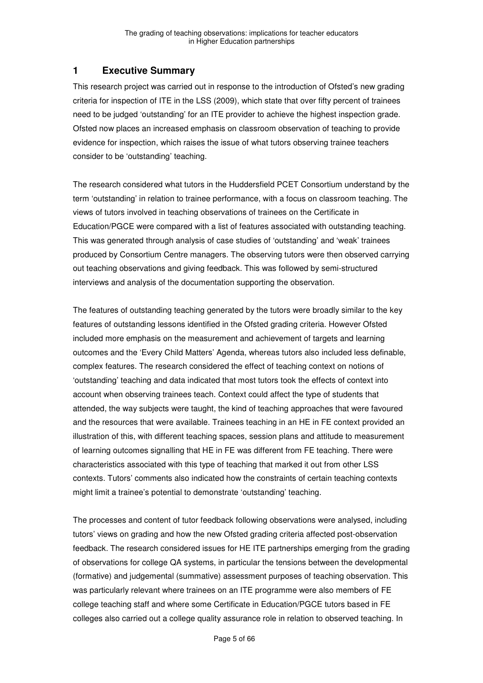# **1 Executive Summary**

This research project was carried out in response to the introduction of Ofsted's new grading criteria for inspection of ITE in the LSS (2009), which state that over fifty percent of trainees need to be judged 'outstanding' for an ITE provider to achieve the highest inspection grade. Ofsted now places an increased emphasis on classroom observation of teaching to provide evidence for inspection, which raises the issue of what tutors observing trainee teachers consider to be 'outstanding' teaching.

The research considered what tutors in the Huddersfield PCET Consortium understand by the term 'outstanding' in relation to trainee performance, with a focus on classroom teaching. The views of tutors involved in teaching observations of trainees on the Certificate in Education/PGCE were compared with a list of features associated with outstanding teaching. This was generated through analysis of case studies of 'outstanding' and 'weak' trainees produced by Consortium Centre managers. The observing tutors were then observed carrying out teaching observations and giving feedback. This was followed by semi-structured interviews and analysis of the documentation supporting the observation.

The features of outstanding teaching generated by the tutors were broadly similar to the key features of outstanding lessons identified in the Ofsted grading criteria. However Ofsted included more emphasis on the measurement and achievement of targets and learning outcomes and the 'Every Child Matters' Agenda, whereas tutors also included less definable, complex features. The research considered the effect of teaching context on notions of 'outstanding' teaching and data indicated that most tutors took the effects of context into account when observing trainees teach. Context could affect the type of students that attended, the way subjects were taught, the kind of teaching approaches that were favoured and the resources that were available. Trainees teaching in an HE in FE context provided an illustration of this, with different teaching spaces, session plans and attitude to measurement of learning outcomes signalling that HE in FE was different from FE teaching. There were characteristics associated with this type of teaching that marked it out from other LSS contexts. Tutors' comments also indicated how the constraints of certain teaching contexts might limit a trainee's potential to demonstrate 'outstanding' teaching.

The processes and content of tutor feedback following observations were analysed, including tutors' views on grading and how the new Ofsted grading criteria affected post-observation feedback. The research considered issues for HE ITE partnerships emerging from the grading of observations for college QA systems, in particular the tensions between the developmental (formative) and judgemental (summative) assessment purposes of teaching observation. This was particularly relevant where trainees on an ITE programme were also members of FE college teaching staff and where some Certificate in Education/PGCE tutors based in FE colleges also carried out a college quality assurance role in relation to observed teaching. In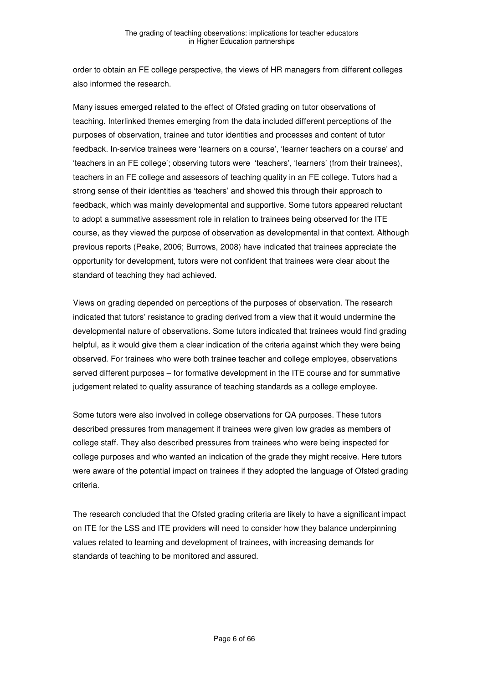order to obtain an FE college perspective, the views of HR managers from different colleges also informed the research.

Many issues emerged related to the effect of Ofsted grading on tutor observations of teaching. Interlinked themes emerging from the data included different perceptions of the purposes of observation, trainee and tutor identities and processes and content of tutor feedback. In-service trainees were 'learners on a course', 'learner teachers on a course' and 'teachers in an FE college'; observing tutors were 'teachers', 'learners' (from their trainees), teachers in an FE college and assessors of teaching quality in an FE college. Tutors had a strong sense of their identities as 'teachers' and showed this through their approach to feedback, which was mainly developmental and supportive. Some tutors appeared reluctant to adopt a summative assessment role in relation to trainees being observed for the ITE course, as they viewed the purpose of observation as developmental in that context. Although previous reports (Peake, 2006; Burrows, 2008) have indicated that trainees appreciate the opportunity for development, tutors were not confident that trainees were clear about the standard of teaching they had achieved.

Views on grading depended on perceptions of the purposes of observation. The research indicated that tutors' resistance to grading derived from a view that it would undermine the developmental nature of observations. Some tutors indicated that trainees would find grading helpful, as it would give them a clear indication of the criteria against which they were being observed. For trainees who were both trainee teacher and college employee, observations served different purposes – for formative development in the ITE course and for summative judgement related to quality assurance of teaching standards as a college employee.

Some tutors were also involved in college observations for QA purposes. These tutors described pressures from management if trainees were given low grades as members of college staff. They also described pressures from trainees who were being inspected for college purposes and who wanted an indication of the grade they might receive. Here tutors were aware of the potential impact on trainees if they adopted the language of Ofsted grading criteria.

The research concluded that the Ofsted grading criteria are likely to have a significant impact on ITE for the LSS and ITE providers will need to consider how they balance underpinning values related to learning and development of trainees, with increasing demands for standards of teaching to be monitored and assured.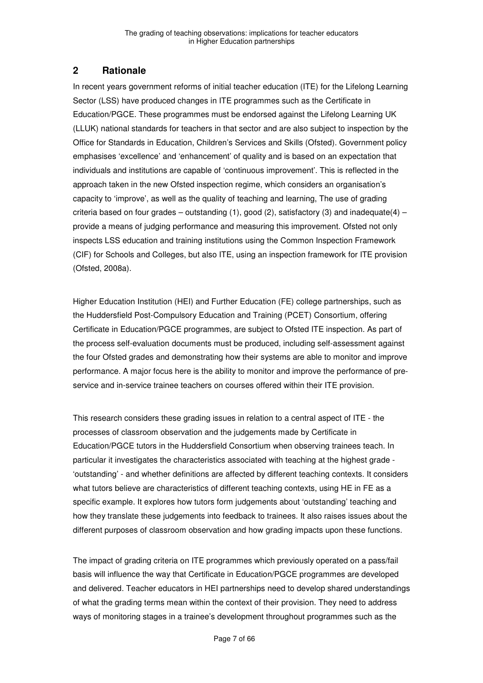# **2 Rationale**

In recent years government reforms of initial teacher education (ITE) for the Lifelong Learning Sector (LSS) have produced changes in ITE programmes such as the Certificate in Education/PGCE. These programmes must be endorsed against the Lifelong Learning UK (LLUK) national standards for teachers in that sector and are also subject to inspection by the Office for Standards in Education, Children's Services and Skills (Ofsted). Government policy emphasises 'excellence' and 'enhancement' of quality and is based on an expectation that individuals and institutions are capable of 'continuous improvement'. This is reflected in the approach taken in the new Ofsted inspection regime, which considers an organisation's capacity to 'improve', as well as the quality of teaching and learning, The use of grading criteria based on four grades – outstanding  $(1)$ , good  $(2)$ , satisfactory  $(3)$  and inadequate $(4)$  – provide a means of judging performance and measuring this improvement. Ofsted not only inspects LSS education and training institutions using the Common Inspection Framework (CIF) for Schools and Colleges, but also ITE, using an inspection framework for ITE provision (Ofsted, 2008a).

Higher Education Institution (HEI) and Further Education (FE) college partnerships, such as the Huddersfield Post-Compulsory Education and Training (PCET) Consortium, offering Certificate in Education/PGCE programmes, are subject to Ofsted ITE inspection. As part of the process self-evaluation documents must be produced, including self-assessment against the four Ofsted grades and demonstrating how their systems are able to monitor and improve performance. A major focus here is the ability to monitor and improve the performance of preservice and in-service trainee teachers on courses offered within their ITE provision.

This research considers these grading issues in relation to a central aspect of ITE - the processes of classroom observation and the judgements made by Certificate in Education/PGCE tutors in the Huddersfield Consortium when observing trainees teach. In particular it investigates the characteristics associated with teaching at the highest grade - 'outstanding' - and whether definitions are affected by different teaching contexts. It considers what tutors believe are characteristics of different teaching contexts, using HE in FE as a specific example. It explores how tutors form judgements about 'outstanding' teaching and how they translate these judgements into feedback to trainees. It also raises issues about the different purposes of classroom observation and how grading impacts upon these functions.

The impact of grading criteria on ITE programmes which previously operated on a pass/fail basis will influence the way that Certificate in Education/PGCE programmes are developed and delivered. Teacher educators in HEI partnerships need to develop shared understandings of what the grading terms mean within the context of their provision. They need to address ways of monitoring stages in a trainee's development throughout programmes such as the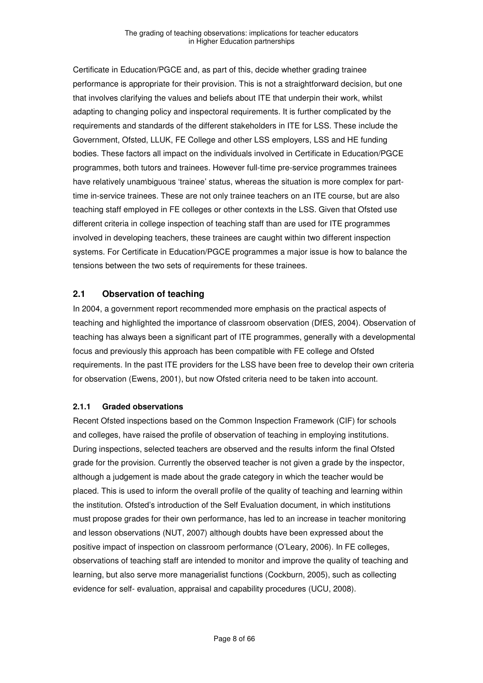Certificate in Education/PGCE and, as part of this, decide whether grading trainee performance is appropriate for their provision. This is not a straightforward decision, but one that involves clarifying the values and beliefs about ITE that underpin their work, whilst adapting to changing policy and inspectoral requirements. It is further complicated by the requirements and standards of the different stakeholders in ITE for LSS. These include the Government, Ofsted, LLUK, FE College and other LSS employers, LSS and HE funding bodies. These factors all impact on the individuals involved in Certificate in Education/PGCE programmes, both tutors and trainees. However full-time pre-service programmes trainees have relatively unambiguous 'trainee' status, whereas the situation is more complex for parttime in-service trainees. These are not only trainee teachers on an ITE course, but are also teaching staff employed in FE colleges or other contexts in the LSS. Given that Ofsted use different criteria in college inspection of teaching staff than are used for ITE programmes involved in developing teachers, these trainees are caught within two different inspection systems. For Certificate in Education/PGCE programmes a major issue is how to balance the tensions between the two sets of requirements for these trainees.

# **2.1 Observation of teaching**

In 2004, a government report recommended more emphasis on the practical aspects of teaching and highlighted the importance of classroom observation (DfES, 2004). Observation of teaching has always been a significant part of ITE programmes, generally with a developmental focus and previously this approach has been compatible with FE college and Ofsted requirements. In the past ITE providers for the LSS have been free to develop their own criteria for observation (Ewens, 2001), but now Ofsted criteria need to be taken into account.

#### **2.1.1 Graded observations**

Recent Ofsted inspections based on the Common Inspection Framework (CIF) for schools and colleges, have raised the profile of observation of teaching in employing institutions. During inspections, selected teachers are observed and the results inform the final Ofsted grade for the provision. Currently the observed teacher is not given a grade by the inspector, although a judgement is made about the grade category in which the teacher would be placed. This is used to inform the overall profile of the quality of teaching and learning within the institution. Ofsted's introduction of the Self Evaluation document, in which institutions must propose grades for their own performance, has led to an increase in teacher monitoring and lesson observations (NUT, 2007) although doubts have been expressed about the positive impact of inspection on classroom performance (O'Leary, 2006). In FE colleges, observations of teaching staff are intended to monitor and improve the quality of teaching and learning, but also serve more managerialist functions (Cockburn, 2005), such as collecting evidence for self- evaluation, appraisal and capability procedures (UCU, 2008).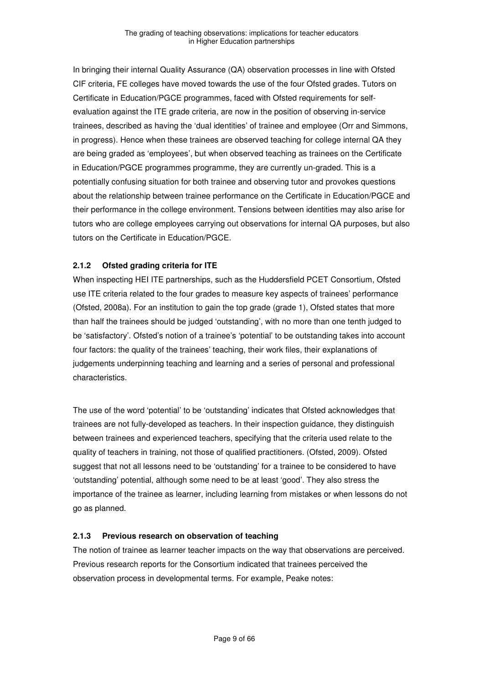In bringing their internal Quality Assurance (QA) observation processes in line with Ofsted CIF criteria, FE colleges have moved towards the use of the four Ofsted grades. Tutors on Certificate in Education/PGCE programmes, faced with Ofsted requirements for selfevaluation against the ITE grade criteria, are now in the position of observing in-service trainees, described as having the 'dual identities' of trainee and employee (Orr and Simmons, in progress). Hence when these trainees are observed teaching for college internal QA they are being graded as 'employees', but when observed teaching as trainees on the Certificate in Education/PGCE programmes programme, they are currently un-graded. This is a potentially confusing situation for both trainee and observing tutor and provokes questions about the relationship between trainee performance on the Certificate in Education/PGCE and their performance in the college environment. Tensions between identities may also arise for tutors who are college employees carrying out observations for internal QA purposes, but also tutors on the Certificate in Education/PGCE.

## **2.1.2 Ofsted grading criteria for ITE**

When inspecting HEI ITE partnerships, such as the Huddersfield PCET Consortium, Ofsted use ITE criteria related to the four grades to measure key aspects of trainees' performance (Ofsted, 2008a). For an institution to gain the top grade (grade 1), Ofsted states that more than half the trainees should be judged 'outstanding', with no more than one tenth judged to be 'satisfactory'. Ofsted's notion of a trainee's 'potential' to be outstanding takes into account four factors: the quality of the trainees' teaching, their work files, their explanations of judgements underpinning teaching and learning and a series of personal and professional characteristics.

The use of the word 'potential' to be 'outstanding' indicates that Ofsted acknowledges that trainees are not fully-developed as teachers. In their inspection guidance, they distinguish between trainees and experienced teachers, specifying that the criteria used relate to the quality of teachers in training, not those of qualified practitioners. (Ofsted, 2009). Ofsted suggest that not all lessons need to be 'outstanding' for a trainee to be considered to have 'outstanding' potential, although some need to be at least 'good'. They also stress the importance of the trainee as learner, including learning from mistakes or when lessons do not go as planned.

#### **2.1.3 Previous research on observation of teaching**

The notion of trainee as learner teacher impacts on the way that observations are perceived. Previous research reports for the Consortium indicated that trainees perceived the observation process in developmental terms. For example, Peake notes: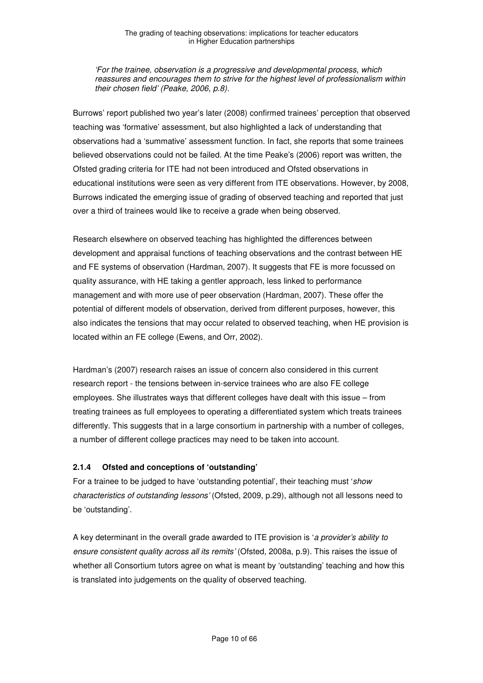'For the trainee, observation is a progressive and developmental process, which reassures and encourages them to strive for the highest level of professionalism within their chosen field' (Peake, 2006, p.8).

Burrows' report published two year's later (2008) confirmed trainees' perception that observed teaching was 'formative' assessment, but also highlighted a lack of understanding that observations had a 'summative' assessment function. In fact, she reports that some trainees believed observations could not be failed. At the time Peake's (2006) report was written, the Ofsted grading criteria for ITE had not been introduced and Ofsted observations in educational institutions were seen as very different from ITE observations. However, by 2008, Burrows indicated the emerging issue of grading of observed teaching and reported that just over a third of trainees would like to receive a grade when being observed.

Research elsewhere on observed teaching has highlighted the differences between development and appraisal functions of teaching observations and the contrast between HE and FE systems of observation (Hardman, 2007). It suggests that FE is more focussed on quality assurance, with HE taking a gentler approach, less linked to performance management and with more use of peer observation (Hardman, 2007). These offer the potential of different models of observation, derived from different purposes, however, this also indicates the tensions that may occur related to observed teaching, when HE provision is located within an FE college (Ewens, and Orr, 2002).

Hardman's (2007) research raises an issue of concern also considered in this current research report - the tensions between in-service trainees who are also FE college employees. She illustrates ways that different colleges have dealt with this issue – from treating trainees as full employees to operating a differentiated system which treats trainees differently. This suggests that in a large consortium in partnership with a number of colleges, a number of different college practices may need to be taken into account.

#### **2.1.4 Ofsted and conceptions of 'outstanding'**

For a trainee to be judged to have 'outstanding potential', their teaching must 'show characteristics of outstanding lessons' (Ofsted, 2009, p.29), although not all lessons need to be 'outstanding'.

A key determinant in the overall grade awarded to ITE provision is 'a provider's ability to ensure consistent quality across all its remits' (Ofsted, 2008a, p.9). This raises the issue of whether all Consortium tutors agree on what is meant by 'outstanding' teaching and how this is translated into judgements on the quality of observed teaching.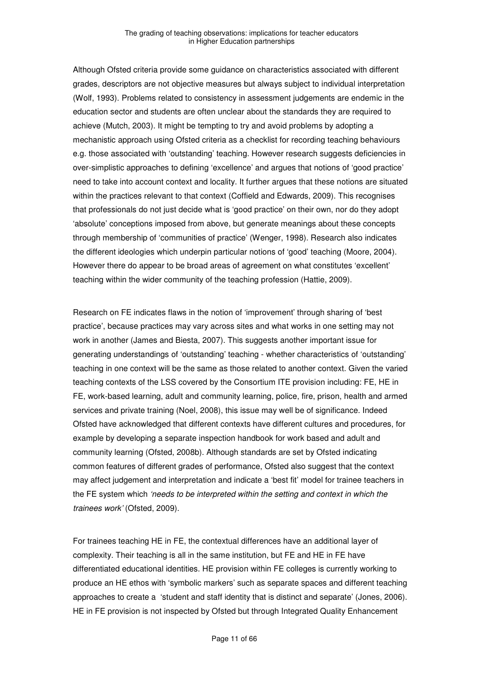Although Ofsted criteria provide some guidance on characteristics associated with different grades, descriptors are not objective measures but always subject to individual interpretation (Wolf, 1993). Problems related to consistency in assessment judgements are endemic in the education sector and students are often unclear about the standards they are required to achieve (Mutch, 2003). It might be tempting to try and avoid problems by adopting a mechanistic approach using Ofsted criteria as a checklist for recording teaching behaviours e.g. those associated with 'outstanding' teaching. However research suggests deficiencies in over-simplistic approaches to defining 'excellence' and argues that notions of 'good practice' need to take into account context and locality. It further argues that these notions are situated within the practices relevant to that context (Coffield and Edwards, 2009). This recognises that professionals do not just decide what is 'good practice' on their own, nor do they adopt 'absolute' conceptions imposed from above, but generate meanings about these concepts through membership of 'communities of practice' (Wenger, 1998). Research also indicates the different ideologies which underpin particular notions of 'good' teaching (Moore, 2004). However there do appear to be broad areas of agreement on what constitutes 'excellent' teaching within the wider community of the teaching profession (Hattie, 2009).

Research on FE indicates flaws in the notion of 'improvement' through sharing of 'best practice', because practices may vary across sites and what works in one setting may not work in another (James and Biesta, 2007). This suggests another important issue for generating understandings of 'outstanding' teaching - whether characteristics of 'outstanding' teaching in one context will be the same as those related to another context. Given the varied teaching contexts of the LSS covered by the Consortium ITE provision including: FE, HE in FE, work-based learning, adult and community learning, police, fire, prison, health and armed services and private training (Noel, 2008), this issue may well be of significance. Indeed Ofsted have acknowledged that different contexts have different cultures and procedures, for example by developing a separate inspection handbook for work based and adult and community learning (Ofsted, 2008b). Although standards are set by Ofsted indicating common features of different grades of performance, Ofsted also suggest that the context may affect judgement and interpretation and indicate a 'best fit' model for trainee teachers in the FE system which 'needs to be interpreted within the setting and context in which the trainees work' (Ofsted, 2009).

For trainees teaching HE in FE, the contextual differences have an additional layer of complexity. Their teaching is all in the same institution, but FE and HE in FE have differentiated educational identities. HE provision within FE colleges is currently working to produce an HE ethos with 'symbolic markers' such as separate spaces and different teaching approaches to create a 'student and staff identity that is distinct and separate' (Jones, 2006). HE in FE provision is not inspected by Ofsted but through Integrated Quality Enhancement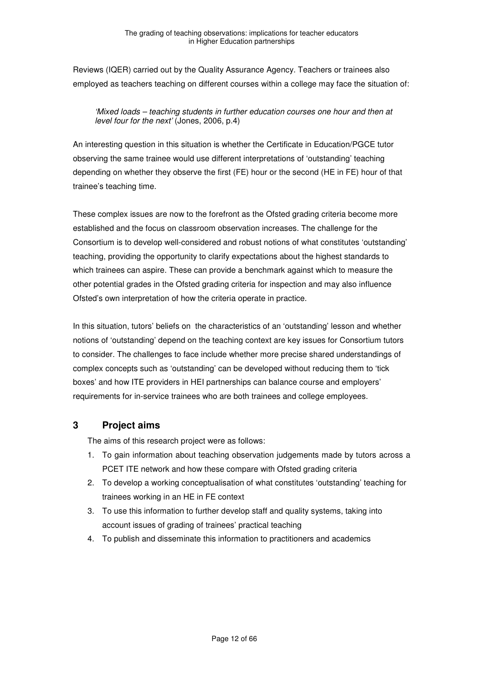Reviews (IQER) carried out by the Quality Assurance Agency. Teachers or trainees also employed as teachers teaching on different courses within a college may face the situation of:

'Mixed loads – teaching students in further education courses one hour and then at level four for the next' (Jones, 2006, p.4)

An interesting question in this situation is whether the Certificate in Education/PGCE tutor observing the same trainee would use different interpretations of 'outstanding' teaching depending on whether they observe the first (FE) hour or the second (HE in FE) hour of that trainee's teaching time.

These complex issues are now to the forefront as the Ofsted grading criteria become more established and the focus on classroom observation increases. The challenge for the Consortium is to develop well-considered and robust notions of what constitutes 'outstanding' teaching, providing the opportunity to clarify expectations about the highest standards to which trainees can aspire. These can provide a benchmark against which to measure the other potential grades in the Ofsted grading criteria for inspection and may also influence Ofsted's own interpretation of how the criteria operate in practice.

In this situation, tutors' beliefs on the characteristics of an 'outstanding' lesson and whether notions of 'outstanding' depend on the teaching context are key issues for Consortium tutors to consider. The challenges to face include whether more precise shared understandings of complex concepts such as 'outstanding' can be developed without reducing them to 'tick boxes' and how ITE providers in HEI partnerships can balance course and employers' requirements for in-service trainees who are both trainees and college employees.

# **3 Project aims**

The aims of this research project were as follows:

- 1. To gain information about teaching observation judgements made by tutors across a PCET ITE network and how these compare with Ofsted grading criteria
- 2. To develop a working conceptualisation of what constitutes 'outstanding' teaching for trainees working in an HE in FE context
- 3. To use this information to further develop staff and quality systems, taking into account issues of grading of trainees' practical teaching
- 4. To publish and disseminate this information to practitioners and academics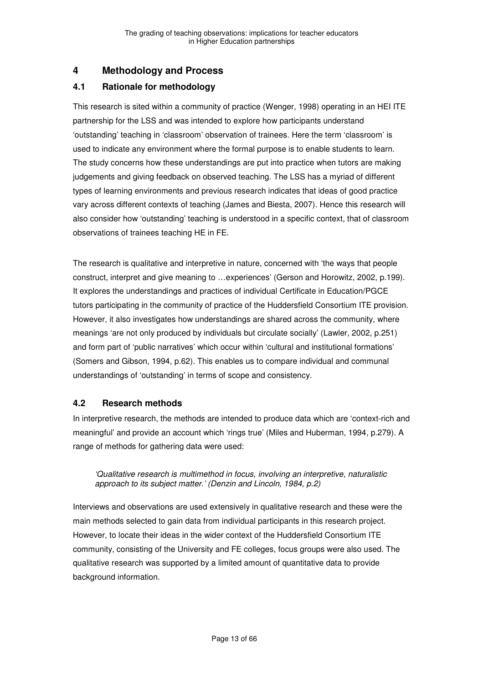# **4 Methodology and Process**

# **4.1 Rationale for methodology**

This research is sited within a community of practice (Wenger, 1998) operating in an HEI ITE partnership for the LSS and was intended to explore how participants understand 'outstanding' teaching in 'classroom' observation of trainees. Here the term 'classroom' is used to indicate any environment where the formal purpose is to enable students to learn. The study concerns how these understandings are put into practice when tutors are making judgements and giving feedback on observed teaching. The LSS has a myriad of different types of learning environments and previous research indicates that ideas of good practice vary across different contexts of teaching (James and Biesta, 2007). Hence this research will also consider how 'outstanding' teaching is understood in a specific context, that of classroom observations of trainees teaching HE in FE.

The research is qualitative and interpretive in nature, concerned with 'the ways that people construct, interpret and give meaning to …experiences' (Gerson and Horowitz, 2002, p.199). It explores the understandings and practices of individual Certificate in Education/PGCE tutors participating in the community of practice of the Huddersfield Consortium ITE provision. However, it also investigates how understandings are shared across the community, where meanings 'are not only produced by individuals but circulate socially' (Lawler, 2002, p.251) and form part of 'public narratives' which occur within 'cultural and institutional formations' (Somers and Gibson, 1994, p.62). This enables us to compare individual and communal understandings of 'outstanding' in terms of scope and consistency.

# **4.2 Research methods**

In interpretive research, the methods are intended to produce data which are 'context-rich and meaningful' and provide an account which 'rings true' (Miles and Huberman, 1994, p.279). A range of methods for gathering data were used:

#### 'Qualitative research is multimethod in focus, involving an interpretive, naturalistic approach to its subject matter.' (Denzin and Lincoln, 1984, p.2)

Interviews and observations are used extensively in qualitative research and these were the main methods selected to gain data from individual participants in this research project. However, to locate their ideas in the wider context of the Huddersfield Consortium ITE community, consisting of the University and FE colleges, focus groups were also used. The qualitative research was supported by a limited amount of quantitative data to provide background information.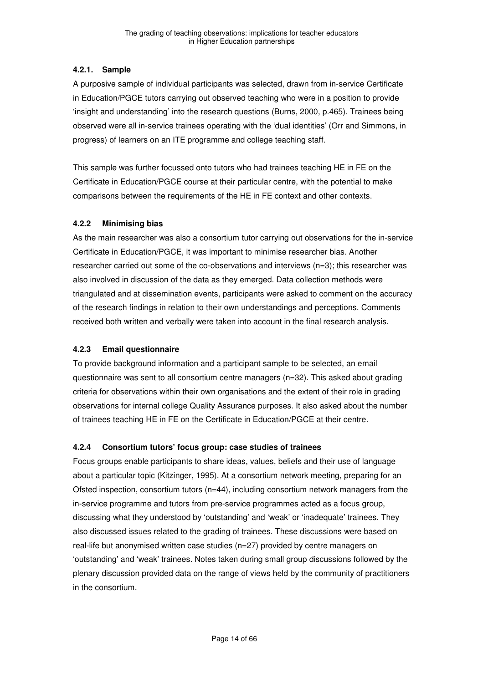## **4.2.1. Sample**

A purposive sample of individual participants was selected, drawn from in-service Certificate in Education/PGCE tutors carrying out observed teaching who were in a position to provide 'insight and understanding' into the research questions (Burns, 2000, p.465). Trainees being observed were all in-service trainees operating with the 'dual identities' (Orr and Simmons, in progress) of learners on an ITE programme and college teaching staff.

This sample was further focussed onto tutors who had trainees teaching HE in FE on the Certificate in Education/PGCE course at their particular centre, with the potential to make comparisons between the requirements of the HE in FE context and other contexts.

#### **4.2.2 Minimising bias**

As the main researcher was also a consortium tutor carrying out observations for the in-service Certificate in Education/PGCE, it was important to minimise researcher bias. Another researcher carried out some of the co-observations and interviews (n=3); this researcher was also involved in discussion of the data as they emerged. Data collection methods were triangulated and at dissemination events, participants were asked to comment on the accuracy of the research findings in relation to their own understandings and perceptions. Comments received both written and verbally were taken into account in the final research analysis.

# **4.2.3 Email questionnaire**

To provide background information and a participant sample to be selected, an email questionnaire was sent to all consortium centre managers (n=32). This asked about grading criteria for observations within their own organisations and the extent of their role in grading observations for internal college Quality Assurance purposes. It also asked about the number of trainees teaching HE in FE on the Certificate in Education/PGCE at their centre.

#### **4.2.4 Consortium tutors' focus group: case studies of trainees**

Focus groups enable participants to share ideas, values, beliefs and their use of language about a particular topic (Kitzinger, 1995). At a consortium network meeting, preparing for an Ofsted inspection, consortium tutors (n=44), including consortium network managers from the in-service programme and tutors from pre-service programmes acted as a focus group, discussing what they understood by 'outstanding' and 'weak' or 'inadequate' trainees. They also discussed issues related to the grading of trainees. These discussions were based on real-life but anonymised written case studies (n=27) provided by centre managers on 'outstanding' and 'weak' trainees. Notes taken during small group discussions followed by the plenary discussion provided data on the range of views held by the community of practitioners in the consortium.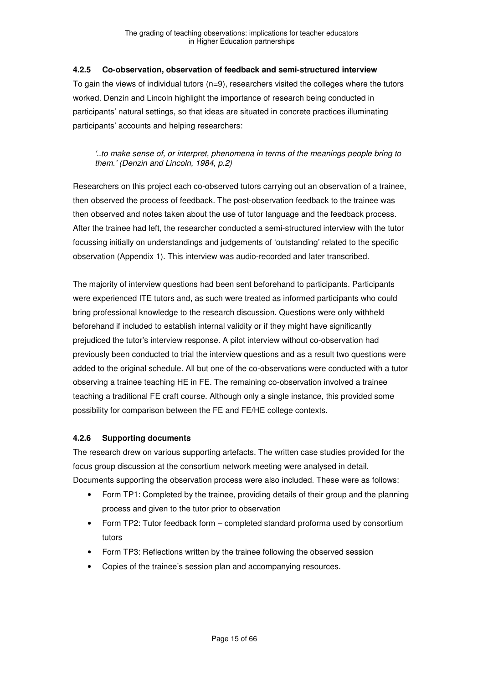#### **4.2.5 Co-observation, observation of feedback and semi-structured interview**

To gain the views of individual tutors  $(n=9)$ , researchers visited the colleges where the tutors worked. Denzin and Lincoln highlight the importance of research being conducted in participants' natural settings, so that ideas are situated in concrete practices illuminating participants' accounts and helping researchers:

#### '..to make sense of, or interpret, phenomena in terms of the meanings people bring to them.' (Denzin and Lincoln, 1984, p.2)

Researchers on this project each co-observed tutors carrying out an observation of a trainee, then observed the process of feedback. The post-observation feedback to the trainee was then observed and notes taken about the use of tutor language and the feedback process. After the trainee had left, the researcher conducted a semi-structured interview with the tutor focussing initially on understandings and judgements of 'outstanding' related to the specific observation (Appendix 1). This interview was audio-recorded and later transcribed.

The majority of interview questions had been sent beforehand to participants. Participants were experienced ITE tutors and, as such were treated as informed participants who could bring professional knowledge to the research discussion. Questions were only withheld beforehand if included to establish internal validity or if they might have significantly prejudiced the tutor's interview response. A pilot interview without co-observation had previously been conducted to trial the interview questions and as a result two questions were added to the original schedule. All but one of the co-observations were conducted with a tutor observing a trainee teaching HE in FE. The remaining co-observation involved a trainee teaching a traditional FE craft course. Although only a single instance, this provided some possibility for comparison between the FE and FE/HE college contexts.

#### **4.2.6 Supporting documents**

The research drew on various supporting artefacts. The written case studies provided for the focus group discussion at the consortium network meeting were analysed in detail. Documents supporting the observation process were also included. These were as follows:

- Form TP1: Completed by the trainee, providing details of their group and the planning process and given to the tutor prior to observation
- Form TP2: Tutor feedback form completed standard proforma used by consortium tutors
- Form TP3: Reflections written by the trainee following the observed session
- Copies of the trainee's session plan and accompanying resources.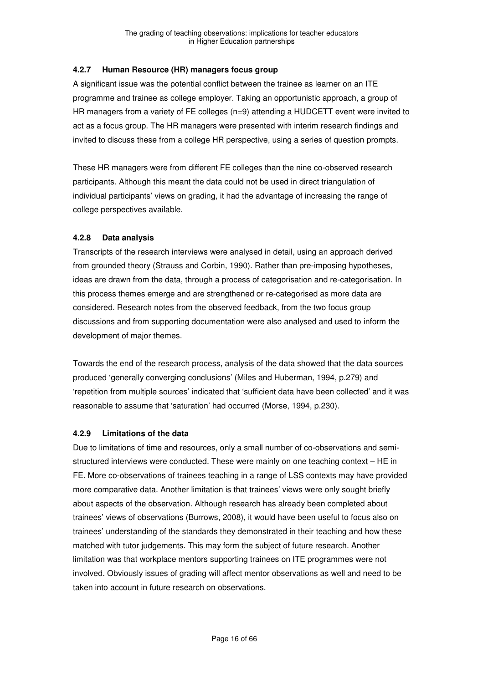## **4.2.7 Human Resource (HR) managers focus group**

A significant issue was the potential conflict between the trainee as learner on an ITE programme and trainee as college employer. Taking an opportunistic approach, a group of HR managers from a variety of FE colleges (n=9) attending a HUDCETT event were invited to act as a focus group. The HR managers were presented with interim research findings and invited to discuss these from a college HR perspective, using a series of question prompts.

These HR managers were from different FE colleges than the nine co-observed research participants. Although this meant the data could not be used in direct triangulation of individual participants' views on grading, it had the advantage of increasing the range of college perspectives available.

## **4.2.8 Data analysis**

Transcripts of the research interviews were analysed in detail, using an approach derived from grounded theory (Strauss and Corbin, 1990). Rather than pre-imposing hypotheses, ideas are drawn from the data, through a process of categorisation and re-categorisation. In this process themes emerge and are strengthened or re-categorised as more data are considered. Research notes from the observed feedback, from the two focus group discussions and from supporting documentation were also analysed and used to inform the development of major themes.

Towards the end of the research process, analysis of the data showed that the data sources produced 'generally converging conclusions' (Miles and Huberman, 1994, p.279) and 'repetition from multiple sources' indicated that 'sufficient data have been collected' and it was reasonable to assume that 'saturation' had occurred (Morse, 1994, p.230).

# **4.2.9 Limitations of the data**

Due to limitations of time and resources, only a small number of co-observations and semistructured interviews were conducted. These were mainly on one teaching context – HE in FE. More co-observations of trainees teaching in a range of LSS contexts may have provided more comparative data. Another limitation is that trainees' views were only sought briefly about aspects of the observation. Although research has already been completed about trainees' views of observations (Burrows, 2008), it would have been useful to focus also on trainees' understanding of the standards they demonstrated in their teaching and how these matched with tutor judgements. This may form the subject of future research. Another limitation was that workplace mentors supporting trainees on ITE programmes were not involved. Obviously issues of grading will affect mentor observations as well and need to be taken into account in future research on observations.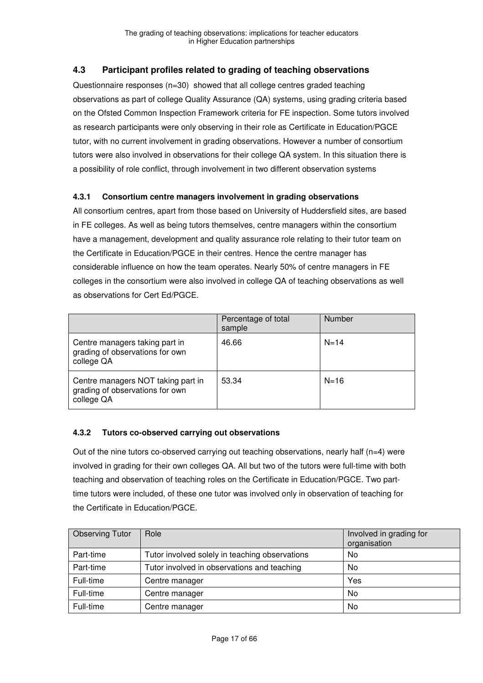# **4.3 Participant profiles related to grading of teaching observations**

Questionnaire responses (n=30) showed that all college centres graded teaching observations as part of college Quality Assurance (QA) systems, using grading criteria based on the Ofsted Common Inspection Framework criteria for FE inspection. Some tutors involved as research participants were only observing in their role as Certificate in Education/PGCE tutor, with no current involvement in grading observations. However a number of consortium tutors were also involved in observations for their college QA system. In this situation there is a possibility of role conflict, through involvement in two different observation systems

#### **4.3.1 Consortium centre managers involvement in grading observations**

All consortium centres, apart from those based on University of Huddersfield sites, are based in FE colleges. As well as being tutors themselves, centre managers within the consortium have a management, development and quality assurance role relating to their tutor team on the Certificate in Education/PGCE in their centres. Hence the centre manager has considerable influence on how the team operates. Nearly 50% of centre managers in FE colleges in the consortium were also involved in college QA of teaching observations as well as observations for Cert Ed/PGCE.

|                                                                                     | Percentage of total<br>sample | <b>Number</b> |
|-------------------------------------------------------------------------------------|-------------------------------|---------------|
| Centre managers taking part in<br>grading of observations for own<br>college QA     | 46.66                         | $N = 14$      |
| Centre managers NOT taking part in<br>grading of observations for own<br>college QA | 53.34                         | $N = 16$      |

#### **4.3.2 Tutors co-observed carrying out observations**

Out of the nine tutors co-observed carrying out teaching observations, nearly half (n=4) were involved in grading for their own colleges QA. All but two of the tutors were full-time with both teaching and observation of teaching roles on the Certificate in Education/PGCE. Two parttime tutors were included, of these one tutor was involved only in observation of teaching for the Certificate in Education/PGCE.

| <b>Observing Tutor</b> | Role                                           | Involved in grading for<br>organisation |
|------------------------|------------------------------------------------|-----------------------------------------|
| Part-time              | Tutor involved solely in teaching observations | No                                      |
| Part-time              | Tutor involved in observations and teaching    | No                                      |
| Full-time              | Centre manager                                 | Yes                                     |
| Full-time              | Centre manager                                 | No                                      |
| Full-time              | Centre manager                                 | No                                      |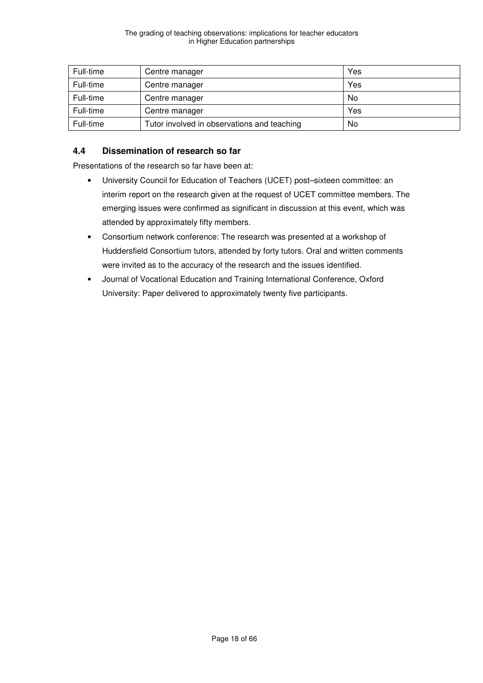| Full-time | Centre manager                              | Yes |
|-----------|---------------------------------------------|-----|
| Full-time | Centre manager                              | Yes |
| Full-time | Centre manager                              | No  |
| Full-time | Centre manager                              | Yes |
| Full-time | Tutor involved in observations and teaching | No  |

# **4.4 Dissemination of research so far**

Presentations of the research so far have been at:

- University Council for Education of Teachers (UCET) post–sixteen committee: an interim report on the research given at the request of UCET committee members. The emerging issues were confirmed as significant in discussion at this event, which was attended by approximately fifty members.
- Consortium network conference: The research was presented at a workshop of Huddersfield Consortium tutors, attended by forty tutors. Oral and written comments were invited as to the accuracy of the research and the issues identified.
- Journal of Vocational Education and Training International Conference, Oxford University: Paper delivered to approximately twenty five participants.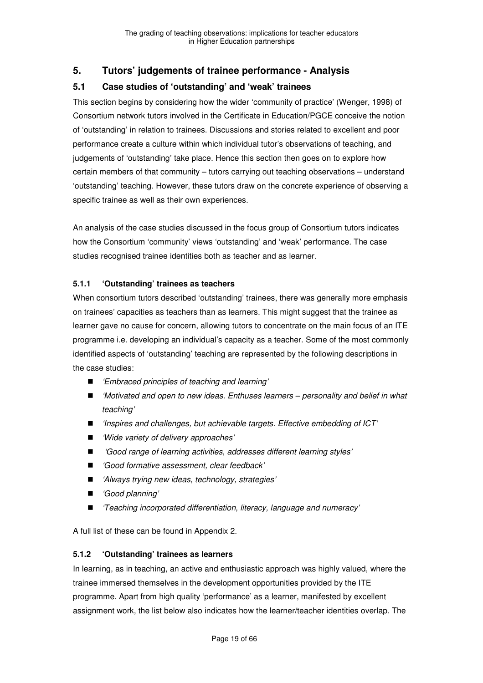# **5. Tutors' judgements of trainee performance - Analysis**

### **5.1 Case studies of 'outstanding' and 'weak' trainees**

This section begins by considering how the wider 'community of practice' (Wenger, 1998) of Consortium network tutors involved in the Certificate in Education/PGCE conceive the notion of 'outstanding' in relation to trainees. Discussions and stories related to excellent and poor performance create a culture within which individual tutor's observations of teaching, and judgements of 'outstanding' take place. Hence this section then goes on to explore how certain members of that community – tutors carrying out teaching observations – understand 'outstanding' teaching. However, these tutors draw on the concrete experience of observing a specific trainee as well as their own experiences.

An analysis of the case studies discussed in the focus group of Consortium tutors indicates how the Consortium 'community' views 'outstanding' and 'weak' performance. The case studies recognised trainee identities both as teacher and as learner.

#### **5.1.1 'Outstanding' trainees as teachers**

When consortium tutors described 'outstanding' trainees, there was generally more emphasis on trainees' capacities as teachers than as learners. This might suggest that the trainee as learner gave no cause for concern, allowing tutors to concentrate on the main focus of an ITE programme i.e. developing an individual's capacity as a teacher. Some of the most commonly identified aspects of 'outstanding' teaching are represented by the following descriptions in the case studies:

- *'Embraced principles of teaching and learning'*
- *'Motivated and open to new ideas. Enthuses learners personality and belief in what* teaching'
- $\blacksquare$  'Inspires and challenges, but achievable targets. Effective embedding of ICT'
- 'Wide variety of delivery approaches'
- Good range of learning activities, addresses different learning styles'
- Good formative assessment, clear feedback'
- 'Always trying new ideas, technology, strategies'
- 'Good planning'
- 'Teaching incorporated differentiation, literacy, language and numeracy'

A full list of these can be found in Appendix 2.

#### **5.1.2 'Outstanding' trainees as learners**

In learning, as in teaching, an active and enthusiastic approach was highly valued, where the trainee immersed themselves in the development opportunities provided by the ITE programme. Apart from high quality 'performance' as a learner, manifested by excellent assignment work, the list below also indicates how the learner/teacher identities overlap. The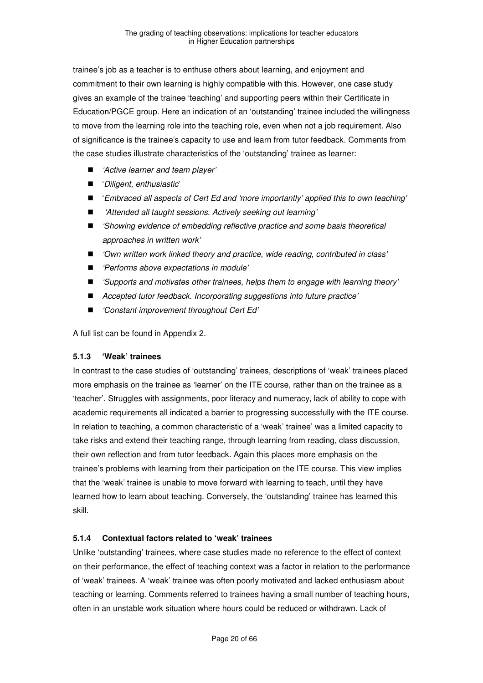trainee's job as a teacher is to enthuse others about learning, and enjoyment and commitment to their own learning is highly compatible with this. However, one case study gives an example of the trainee 'teaching' and supporting peers within their Certificate in Education/PGCE group. Here an indication of an 'outstanding' trainee included the willingness to move from the learning role into the teaching role, even when not a job requirement. Also of significance is the trainee's capacity to use and learn from tutor feedback. Comments from the case studies illustrate characteristics of the 'outstanding' trainee as learner:

- 'Active learner and team player'
- 'Diligent, enthusiastic'
- 'Embraced all aspects of Cert Ed and 'more importantly' applied this to own teaching'
- 'Attended all taught sessions. Actively seeking out learning'
- Showing evidence of embedding reflective practice and some basis theoretical approaches in written work'
- *'Own written work linked theory and practice, wide reading, contributed in class'*
- 'Performs above expectations in module'
- 'Supports and motivates other trainees, helps them to engage with learning theory'
- Accepted tutor feedback. Incorporating suggestions into future practice'
- 'Constant improvement throughout Cert Ed'

A full list can be found in Appendix 2.

#### **5.1.3 'Weak' trainees**

In contrast to the case studies of 'outstanding' trainees, descriptions of 'weak' trainees placed more emphasis on the trainee as 'learner' on the ITE course, rather than on the trainee as a 'teacher'. Struggles with assignments, poor literacy and numeracy, lack of ability to cope with academic requirements all indicated a barrier to progressing successfully with the ITE course. In relation to teaching, a common characteristic of a 'weak' trainee' was a limited capacity to take risks and extend their teaching range, through learning from reading, class discussion, their own reflection and from tutor feedback. Again this places more emphasis on the trainee's problems with learning from their participation on the ITE course. This view implies that the 'weak' trainee is unable to move forward with learning to teach, until they have learned how to learn about teaching. Conversely, the 'outstanding' trainee has learned this skill.

#### **5.1.4 Contextual factors related to 'weak' trainees**

Unlike 'outstanding' trainees, where case studies made no reference to the effect of context on their performance, the effect of teaching context was a factor in relation to the performance of 'weak' trainees. A 'weak' trainee was often poorly motivated and lacked enthusiasm about teaching or learning. Comments referred to trainees having a small number of teaching hours, often in an unstable work situation where hours could be reduced or withdrawn. Lack of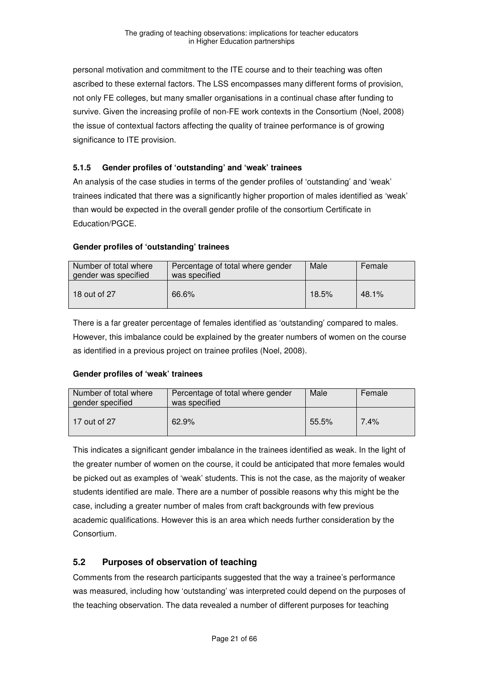personal motivation and commitment to the ITE course and to their teaching was often ascribed to these external factors. The LSS encompasses many different forms of provision, not only FE colleges, but many smaller organisations in a continual chase after funding to survive. Given the increasing profile of non-FE work contexts in the Consortium (Noel, 2008) the issue of contextual factors affecting the quality of trainee performance is of growing significance to ITE provision.

### **5.1.5 Gender profiles of 'outstanding' and 'weak' trainees**

An analysis of the case studies in terms of the gender profiles of 'outstanding' and 'weak' trainees indicated that there was a significantly higher proportion of males identified as 'weak' than would be expected in the overall gender profile of the consortium Certificate in Education/PGCE.

#### **Gender profiles of 'outstanding' trainees**

| Number of total where<br>gender was specified | Percentage of total where gender<br>was specified | Male  | Female |
|-----------------------------------------------|---------------------------------------------------|-------|--------|
| 18 out of 27                                  | 66.6%                                             | 18.5% | 48.1%  |

There is a far greater percentage of females identified as 'outstanding' compared to males. However, this imbalance could be explained by the greater numbers of women on the course as identified in a previous project on trainee profiles (Noel, 2008).

#### **Gender profiles of 'weak' trainees**

| Number of total where | Percentage of total where gender | Male   |         |
|-----------------------|----------------------------------|--------|---------|
| gender specified      | was specified                    | Female |         |
| l 17 out of 27        | 62.9%                            | 55.5%  | $7.4\%$ |

This indicates a significant gender imbalance in the trainees identified as weak. In the light of the greater number of women on the course, it could be anticipated that more females would be picked out as examples of 'weak' students. This is not the case, as the majority of weaker students identified are male. There are a number of possible reasons why this might be the case, including a greater number of males from craft backgrounds with few previous academic qualifications. However this is an area which needs further consideration by the Consortium.

# **5.2 Purposes of observation of teaching**

Comments from the research participants suggested that the way a trainee's performance was measured, including how 'outstanding' was interpreted could depend on the purposes of the teaching observation. The data revealed a number of different purposes for teaching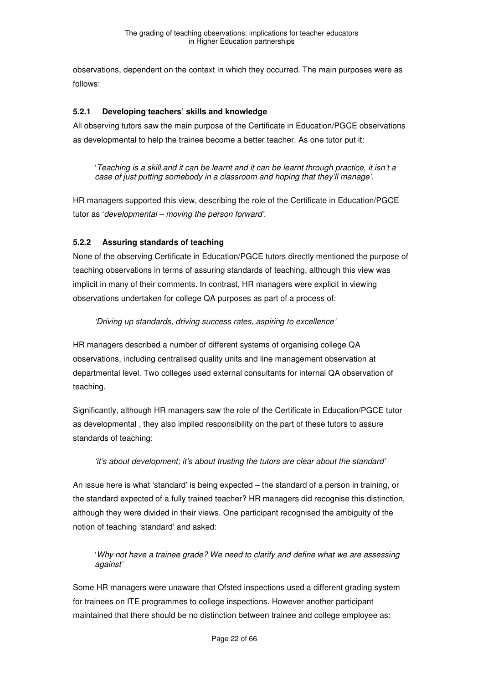observations, dependent on the context in which they occurred. The main purposes were as follows:

#### **5.2.1 Developing teachers' skills and knowledge**

All observing tutors saw the main purpose of the Certificate in Education/PGCE observations as developmental to help the trainee become a better teacher. As one tutor put it:

'Teaching is a skill and it can be learnt and it can be learnt through practice, it isn't a case of just putting somebody in a classroom and hoping that they'll manage'.

HR managers supported this view, describing the role of the Certificate in Education/PGCE tutor as 'developmental – moving the person forward'.

#### **5.2.2 Assuring standards of teaching**

None of the observing Certificate in Education/PGCE tutors directly mentioned the purpose of teaching observations in terms of assuring standards of teaching, although this view was implicit in many of their comments. In contrast, HR managers were explicit in viewing observations undertaken for college QA purposes as part of a process of:

#### 'Driving up standards, driving success rates, aspiring to excellence'

HR managers described a number of different systems of organising college QA observations, including centralised quality units and line management observation at departmental level. Two colleges used external consultants for internal QA observation of teaching.

Significantly, although HR managers saw the role of the Certificate in Education/PGCE tutor as developmental , they also implied responsibility on the part of these tutors to assure standards of teaching:

#### 'it's about development; it's about trusting the tutors are clear about the standard'

An issue here is what 'standard' is being expected – the standard of a person in training, or the standard expected of a fully trained teacher? HR managers did recognise this distinction, although they were divided in their views. One participant recognised the ambiguity of the notion of teaching 'standard' and asked:

'Why not have a trainee grade? We need to clarify and define what we are assessing against'

Some HR managers were unaware that Ofsted inspections used a different grading system for trainees on ITE programmes to college inspections. However another participant maintained that there should be no distinction between trainee and college employee as: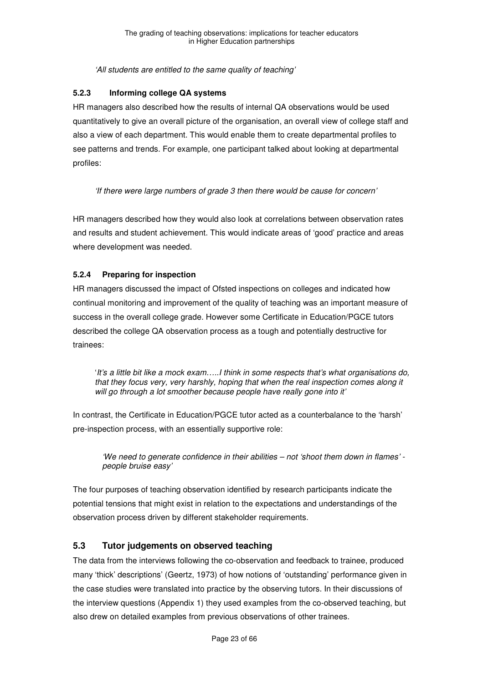'All students are entitled to the same quality of teaching'

### **5.2.3 Informing college QA systems**

HR managers also described how the results of internal QA observations would be used quantitatively to give an overall picture of the organisation, an overall view of college staff and also a view of each department. This would enable them to create departmental profiles to see patterns and trends. For example, one participant talked about looking at departmental profiles:

'If there were large numbers of grade 3 then there would be cause for concern'

HR managers described how they would also look at correlations between observation rates and results and student achievement. This would indicate areas of 'good' practice and areas where development was needed.

# **5.2.4 Preparing for inspection**

HR managers discussed the impact of Ofsted inspections on colleges and indicated how continual monitoring and improvement of the quality of teaching was an important measure of success in the overall college grade. However some Certificate in Education/PGCE tutors described the college QA observation process as a tough and potentially destructive for trainees:

'It's a little bit like a mock exam…..I think in some respects that's what organisations do, that they focus very, very harshly, hoping that when the real inspection comes along it will go through a lot smoother because people have really gone into it'

In contrast, the Certificate in Education/PGCE tutor acted as a counterbalance to the 'harsh' pre-inspection process, with an essentially supportive role:

'We need to generate confidence in their abilities – not 'shoot them down in flames' people bruise easy'

The four purposes of teaching observation identified by research participants indicate the potential tensions that might exist in relation to the expectations and understandings of the observation process driven by different stakeholder requirements.

# **5.3 Tutor judgements on observed teaching**

The data from the interviews following the co-observation and feedback to trainee, produced many 'thick' descriptions' (Geertz, 1973) of how notions of 'outstanding' performance given in the case studies were translated into practice by the observing tutors. In their discussions of the interview questions (Appendix 1) they used examples from the co-observed teaching, but also drew on detailed examples from previous observations of other trainees.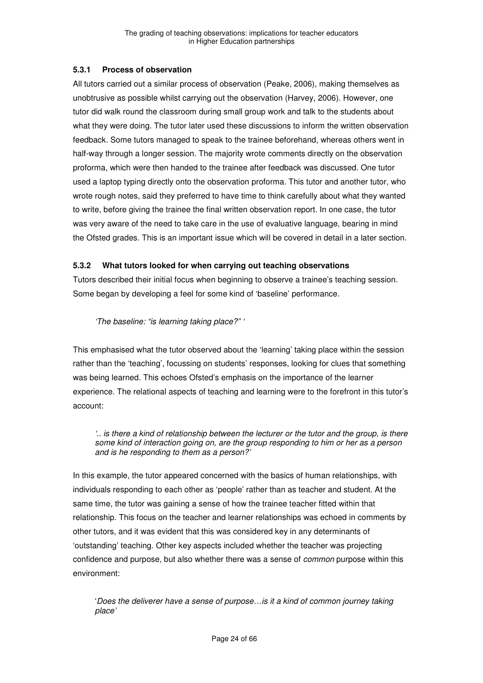#### **5.3.1 Process of observation**

All tutors carried out a similar process of observation (Peake, 2006), making themselves as unobtrusive as possible whilst carrying out the observation (Harvey, 2006). However, one tutor did walk round the classroom during small group work and talk to the students about what they were doing. The tutor later used these discussions to inform the written observation feedback. Some tutors managed to speak to the trainee beforehand, whereas others went in half-way through a longer session. The majority wrote comments directly on the observation proforma, which were then handed to the trainee after feedback was discussed. One tutor used a laptop typing directly onto the observation proforma. This tutor and another tutor, who wrote rough notes, said they preferred to have time to think carefully about what they wanted to write, before giving the trainee the final written observation report. In one case, the tutor was very aware of the need to take care in the use of evaluative language, bearing in mind the Ofsted grades. This is an important issue which will be covered in detail in a later section.

#### **5.3.2 What tutors looked for when carrying out teaching observations**

Tutors described their initial focus when beginning to observe a trainee's teaching session. Some began by developing a feel for some kind of 'baseline' performance.

## 'The baseline: "is learning taking place?" '

This emphasised what the tutor observed about the 'learning' taking place within the session rather than the 'teaching', focussing on students' responses, looking for clues that something was being learned. This echoes Ofsted's emphasis on the importance of the learner experience. The relational aspects of teaching and learning were to the forefront in this tutor's account:

'.. is there a kind of relationship between the lecturer or the tutor and the group, is there some kind of interaction going on, are the group responding to him or her as a person and is he responding to them as a person?'

In this example, the tutor appeared concerned with the basics of human relationships, with individuals responding to each other as 'people' rather than as teacher and student. At the same time, the tutor was gaining a sense of how the trainee teacher fitted within that relationship. This focus on the teacher and learner relationships was echoed in comments by other tutors, and it was evident that this was considered key in any determinants of 'outstanding' teaching. Other key aspects included whether the teacher was projecting confidence and purpose, but also whether there was a sense of common purpose within this environment:

'Does the deliverer have a sense of purpose…is it a kind of common journey taking place'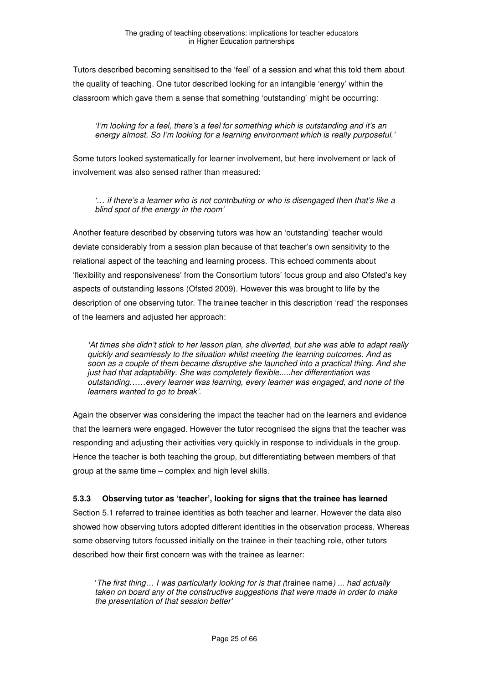Tutors described becoming sensitised to the 'feel' of a session and what this told them about the quality of teaching. One tutor described looking for an intangible 'energy' within the classroom which gave them a sense that something 'outstanding' might be occurring:

'I'm looking for a feel, there's a feel for something which is outstanding and it's an energy almost. So I'm looking for a learning environment which is really purposeful.'

Some tutors looked systematically for learner involvement, but here involvement or lack of involvement was also sensed rather than measured:

'… if there's a learner who is not contributing or who is disengaged then that's like a blind spot of the energy in the room'

Another feature described by observing tutors was how an 'outstanding' teacher would deviate considerably from a session plan because of that teacher's own sensitivity to the relational aspect of the teaching and learning process. This echoed comments about 'flexibility and responsiveness' from the Consortium tutors' focus group and also Ofsted's key aspects of outstanding lessons (Ofsted 2009). However this was brought to life by the description of one observing tutor. The trainee teacher in this description 'read' the responses of the learners and adjusted her approach:

**'**At times she didn't stick to her lesson plan, she diverted, but she was able to adapt really quickly and seamlessly to the situation whilst meeting the learning outcomes. And as soon as a couple of them became disruptive she launched into a practical thing. And she just had that adaptability. She was completely flexible.....her differentiation was outstanding……every learner was learning, every learner was engaged, and none of the learners wanted to go to break'.

Again the observer was considering the impact the teacher had on the learners and evidence that the learners were engaged. However the tutor recognised the signs that the teacher was responding and adjusting their activities very quickly in response to individuals in the group. Hence the teacher is both teaching the group, but differentiating between members of that group at the same time – complex and high level skills.

#### **5.3.3 Observing tutor as 'teacher', looking for signs that the trainee has learned**

Section 5.1 referred to trainee identities as both teacher and learner. However the data also showed how observing tutors adopted different identities in the observation process. Whereas some observing tutors focussed initially on the trainee in their teaching role, other tutors described how their first concern was with the trainee as learner:

'The first thing… I was particularly looking for is that (trainee name) ... had actually taken on board any of the constructive suggestions that were made in order to make the presentation of that session better'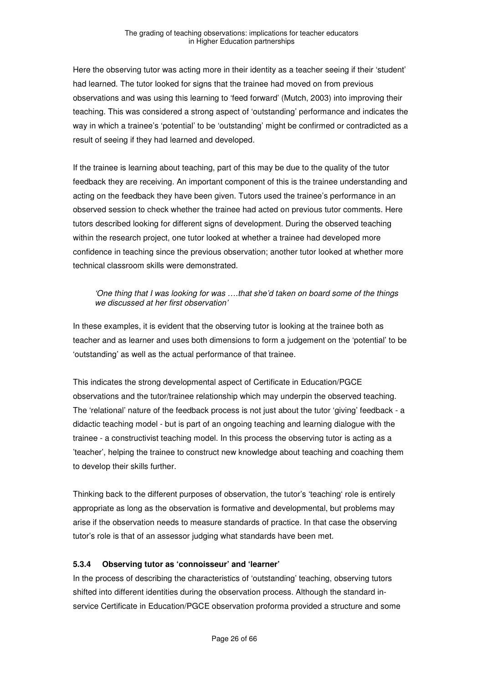Here the observing tutor was acting more in their identity as a teacher seeing if their 'student' had learned. The tutor looked for signs that the trainee had moved on from previous observations and was using this learning to 'feed forward' (Mutch, 2003) into improving their teaching. This was considered a strong aspect of 'outstanding' performance and indicates the way in which a trainee's 'potential' to be 'outstanding' might be confirmed or contradicted as a result of seeing if they had learned and developed.

If the trainee is learning about teaching, part of this may be due to the quality of the tutor feedback they are receiving. An important component of this is the trainee understanding and acting on the feedback they have been given. Tutors used the trainee's performance in an observed session to check whether the trainee had acted on previous tutor comments. Here tutors described looking for different signs of development. During the observed teaching within the research project, one tutor looked at whether a trainee had developed more confidence in teaching since the previous observation; another tutor looked at whether more technical classroom skills were demonstrated.

#### 'One thing that I was looking for was ….that she'd taken on board some of the things we discussed at her first observation'

In these examples, it is evident that the observing tutor is looking at the trainee both as teacher and as learner and uses both dimensions to form a judgement on the 'potential' to be 'outstanding' as well as the actual performance of that trainee.

This indicates the strong developmental aspect of Certificate in Education/PGCE observations and the tutor/trainee relationship which may underpin the observed teaching. The 'relational' nature of the feedback process is not just about the tutor 'giving' feedback - a didactic teaching model - but is part of an ongoing teaching and learning dialogue with the trainee - a constructivist teaching model. In this process the observing tutor is acting as a 'teacher', helping the trainee to construct new knowledge about teaching and coaching them to develop their skills further.

Thinking back to the different purposes of observation, the tutor's 'teaching' role is entirely appropriate as long as the observation is formative and developmental, but problems may arise if the observation needs to measure standards of practice. In that case the observing tutor's role is that of an assessor judging what standards have been met.

#### **5.3.4 Observing tutor as 'connoisseur' and 'learner'**

In the process of describing the characteristics of 'outstanding' teaching, observing tutors shifted into different identities during the observation process. Although the standard inservice Certificate in Education/PGCE observation proforma provided a structure and some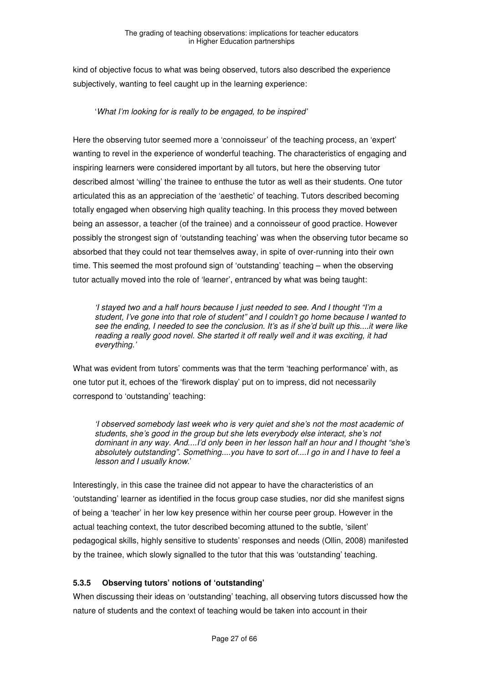kind of objective focus to what was being observed, tutors also described the experience subjectively, wanting to feel caught up in the learning experience:

#### 'What I'm looking for is really to be engaged, to be inspired'

Here the observing tutor seemed more a 'connoisseur' of the teaching process, an 'expert' wanting to revel in the experience of wonderful teaching. The characteristics of engaging and inspiring learners were considered important by all tutors, but here the observing tutor described almost 'willing' the trainee to enthuse the tutor as well as their students. One tutor articulated this as an appreciation of the 'aesthetic' of teaching. Tutors described becoming totally engaged when observing high quality teaching. In this process they moved between being an assessor, a teacher (of the trainee) and a connoisseur of good practice. However possibly the strongest sign of 'outstanding teaching' was when the observing tutor became so absorbed that they could not tear themselves away, in spite of over-running into their own time. This seemed the most profound sign of 'outstanding' teaching – when the observing tutor actually moved into the role of 'learner', entranced by what was being taught:

'I stayed two and a half hours because I just needed to see. And I thought "I'm a student, I've gone into that role of student" and I couldn't go home because I wanted to see the ending, I needed to see the conclusion. It's as if she'd built up this....it were like reading a really good novel. She started it off really well and it was exciting, it had everything.'

What was evident from tutors' comments was that the term 'teaching performance' with, as one tutor put it, echoes of the 'firework display' put on to impress, did not necessarily correspond to 'outstanding' teaching:

'I observed somebody last week who is very quiet and she's not the most academic of students, she's good in the group but she lets everybody else interact, she's not dominant in any way. And....I'd only been in her lesson half an hour and I thought "she's absolutely outstanding". Something....you have to sort of....I go in and I have to feel a lesson and I usually know.'

Interestingly, in this case the trainee did not appear to have the characteristics of an 'outstanding' learner as identified in the focus group case studies, nor did she manifest signs of being a 'teacher' in her low key presence within her course peer group. However in the actual teaching context, the tutor described becoming attuned to the subtle, 'silent' pedagogical skills, highly sensitive to students' responses and needs (Ollin, 2008) manifested by the trainee, which slowly signalled to the tutor that this was 'outstanding' teaching.

#### **5.3.5 Observing tutors' notions of 'outstanding'**

When discussing their ideas on 'outstanding' teaching, all observing tutors discussed how the nature of students and the context of teaching would be taken into account in their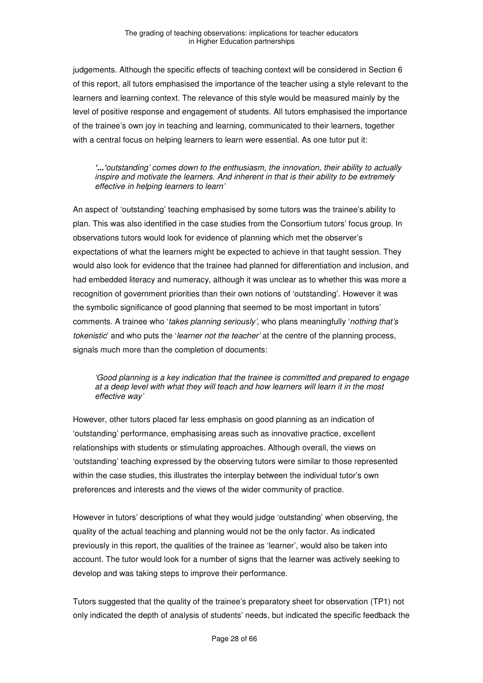judgements. Although the specific effects of teaching context will be considered in Section 6 of this report, all tutors emphasised the importance of the teacher using a style relevant to the learners and learning context. The relevance of this style would be measured mainly by the level of positive response and engagement of students. All tutors emphasised the importance of the trainee's own joy in teaching and learning, communicated to their learners, together with a central focus on helping learners to learn were essential. As one tutor put it:

#### **'...'**outstanding' comes down to the enthusiasm, the innovation, their ability to actually inspire and motivate the learners. And inherent in that is their ability to be extremely effective in helping learners to learn'

An aspect of 'outstanding' teaching emphasised by some tutors was the trainee's ability to plan. This was also identified in the case studies from the Consortium tutors' focus group. In observations tutors would look for evidence of planning which met the observer's expectations of what the learners might be expected to achieve in that taught session. They would also look for evidence that the trainee had planned for differentiation and inclusion, and had embedded literacy and numeracy, although it was unclear as to whether this was more a recognition of government priorities than their own notions of 'outstanding'. However it was the symbolic significance of good planning that seemed to be most important in tutors' comments. A trainee who 'takes planning seriously', who plans meaningfully 'nothing that's tokenistic' and who puts the 'learner not the teacher' at the centre of the planning process, signals much more than the completion of documents:

#### 'Good planning is a key indication that the trainee is committed and prepared to engage at a deep level with what they will teach and how learners will learn it in the most effective way'

However, other tutors placed far less emphasis on good planning as an indication of 'outstanding' performance, emphasising areas such as innovative practice, excellent relationships with students or stimulating approaches. Although overall, the views on 'outstanding' teaching expressed by the observing tutors were similar to those represented within the case studies, this illustrates the interplay between the individual tutor's own preferences and interests and the views of the wider community of practice.

However in tutors' descriptions of what they would judge 'outstanding' when observing, the quality of the actual teaching and planning would not be the only factor. As indicated previously in this report, the qualities of the trainee as 'learner', would also be taken into account. The tutor would look for a number of signs that the learner was actively seeking to develop and was taking steps to improve their performance.

Tutors suggested that the quality of the trainee's preparatory sheet for observation (TP1) not only indicated the depth of analysis of students' needs, but indicated the specific feedback the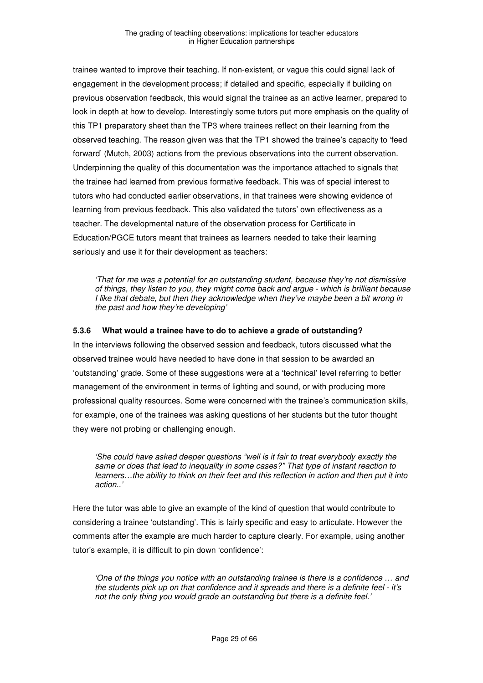trainee wanted to improve their teaching. If non-existent, or vague this could signal lack of engagement in the development process; if detailed and specific, especially if building on previous observation feedback, this would signal the trainee as an active learner, prepared to look in depth at how to develop. Interestingly some tutors put more emphasis on the quality of this TP1 preparatory sheet than the TP3 where trainees reflect on their learning from the observed teaching. The reason given was that the TP1 showed the trainee's capacity to 'feed forward' (Mutch, 2003) actions from the previous observations into the current observation. Underpinning the quality of this documentation was the importance attached to signals that the trainee had learned from previous formative feedback. This was of special interest to tutors who had conducted earlier observations, in that trainees were showing evidence of learning from previous feedback. This also validated the tutors' own effectiveness as a teacher. The developmental nature of the observation process for Certificate in Education/PGCE tutors meant that trainees as learners needed to take their learning seriously and use it for their development as teachers:

'That for me was a potential for an outstanding student, because they're not dismissive of things, they listen to you, they might come back and argue - which is brilliant because I like that debate, but then they acknowledge when they've maybe been a bit wrong in the past and how they're developing'

#### **5.3.6 What would a trainee have to do to achieve a grade of outstanding?**

In the interviews following the observed session and feedback, tutors discussed what the observed trainee would have needed to have done in that session to be awarded an 'outstanding' grade. Some of these suggestions were at a 'technical' level referring to better management of the environment in terms of lighting and sound, or with producing more professional quality resources. Some were concerned with the trainee's communication skills, for example, one of the trainees was asking questions of her students but the tutor thought they were not probing or challenging enough.

'She could have asked deeper questions "well is it fair to treat everybody exactly the same or does that lead to inequality in some cases?" That type of instant reaction to learners…the ability to think on their feet and this reflection in action and then put it into action..'

Here the tutor was able to give an example of the kind of question that would contribute to considering a trainee 'outstanding'. This is fairly specific and easy to articulate. However the comments after the example are much harder to capture clearly. For example, using another tutor's example, it is difficult to pin down 'confidence':

'One of the things you notice with an outstanding trainee is there is a confidence … and the students pick up on that confidence and it spreads and there is a definite feel - it's not the only thing you would grade an outstanding but there is a definite feel.'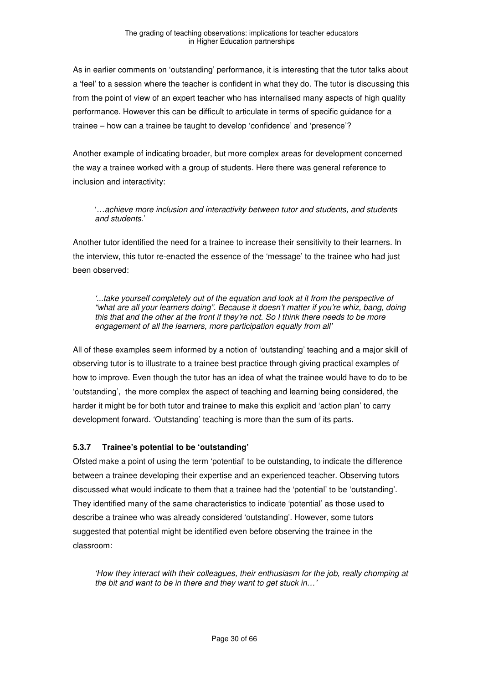As in earlier comments on 'outstanding' performance, it is interesting that the tutor talks about a 'feel' to a session where the teacher is confident in what they do. The tutor is discussing this from the point of view of an expert teacher who has internalised many aspects of high quality performance. However this can be difficult to articulate in terms of specific guidance for a trainee – how can a trainee be taught to develop 'confidence' and 'presence'?

Another example of indicating broader, but more complex areas for development concerned the way a trainee worked with a group of students. Here there was general reference to inclusion and interactivity:

'…achieve more inclusion and interactivity between tutor and students, and students and students.'

Another tutor identified the need for a trainee to increase their sensitivity to their learners. In the interview, this tutor re-enacted the essence of the 'message' to the trainee who had just been observed:

'...take yourself completely out of the equation and look at it from the perspective of "what are all your learners doing". Because it doesn't matter if you're whiz, bang, doing this that and the other at the front if they're not. So I think there needs to be more engagement of all the learners, more participation equally from all'

All of these examples seem informed by a notion of 'outstanding' teaching and a major skill of observing tutor is to illustrate to a trainee best practice through giving practical examples of how to improve. Even though the tutor has an idea of what the trainee would have to do to be 'outstanding', the more complex the aspect of teaching and learning being considered, the harder it might be for both tutor and trainee to make this explicit and 'action plan' to carry development forward. 'Outstanding' teaching is more than the sum of its parts.

#### **5.3.7 Trainee's potential to be 'outstanding'**

Ofsted make a point of using the term 'potential' to be outstanding, to indicate the difference between a trainee developing their expertise and an experienced teacher. Observing tutors discussed what would indicate to them that a trainee had the 'potential' to be 'outstanding'. They identified many of the same characteristics to indicate 'potential' as those used to describe a trainee who was already considered 'outstanding'. However, some tutors suggested that potential might be identified even before observing the trainee in the classroom:

'How they interact with their colleagues, their enthusiasm for the job, really chomping at the bit and want to be in there and they want to get stuck in…'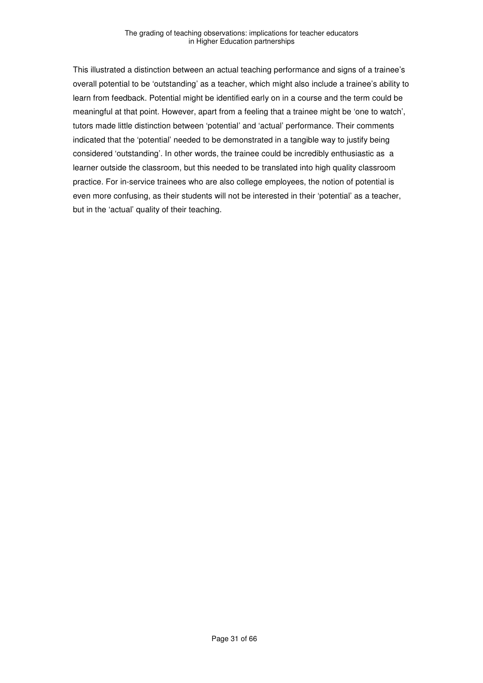This illustrated a distinction between an actual teaching performance and signs of a trainee's overall potential to be 'outstanding' as a teacher, which might also include a trainee's ability to learn from feedback. Potential might be identified early on in a course and the term could be meaningful at that point. However, apart from a feeling that a trainee might be 'one to watch', tutors made little distinction between 'potential' and 'actual' performance. Their comments indicated that the 'potential' needed to be demonstrated in a tangible way to justify being considered 'outstanding'. In other words, the trainee could be incredibly enthusiastic as a learner outside the classroom, but this needed to be translated into high quality classroom practice. For in-service trainees who are also college employees, the notion of potential is even more confusing, as their students will not be interested in their 'potential' as a teacher, but in the 'actual' quality of their teaching.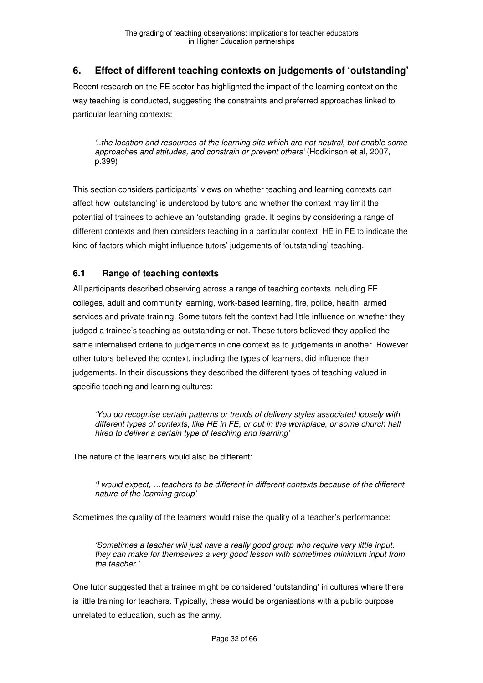# **6. Effect of different teaching contexts on judgements of 'outstanding'**

Recent research on the FE sector has highlighted the impact of the learning context on the way teaching is conducted, suggesting the constraints and preferred approaches linked to particular learning contexts:

'..the location and resources of the learning site which are not neutral, but enable some approaches and attitudes, and constrain or prevent others' (Hodkinson et al, 2007, p.399)

This section considers participants' views on whether teaching and learning contexts can affect how 'outstanding' is understood by tutors and whether the context may limit the potential of trainees to achieve an 'outstanding' grade. It begins by considering a range of different contexts and then considers teaching in a particular context, HE in FE to indicate the kind of factors which might influence tutors' judgements of 'outstanding' teaching.

# **6.1 Range of teaching contexts**

All participants described observing across a range of teaching contexts including FE colleges, adult and community learning, work-based learning, fire, police, health, armed services and private training. Some tutors felt the context had little influence on whether they judged a trainee's teaching as outstanding or not. These tutors believed they applied the same internalised criteria to judgements in one context as to judgements in another. However other tutors believed the context, including the types of learners, did influence their judgements. In their discussions they described the different types of teaching valued in specific teaching and learning cultures:

'You do recognise certain patterns or trends of delivery styles associated loosely with different types of contexts, like HE in FE, or out in the workplace, or some church hall hired to deliver a certain type of teaching and learning'

The nature of the learners would also be different:

'I would expect, …teachers to be different in different contexts because of the different nature of the learning group'

Sometimes the quality of the learners would raise the quality of a teacher's performance:

'Sometimes a teacher will just have a really good group who require very little input. they can make for themselves a very good lesson with sometimes minimum input from the teacher.'

One tutor suggested that a trainee might be considered 'outstanding' in cultures where there is little training for teachers. Typically, these would be organisations with a public purpose unrelated to education, such as the army.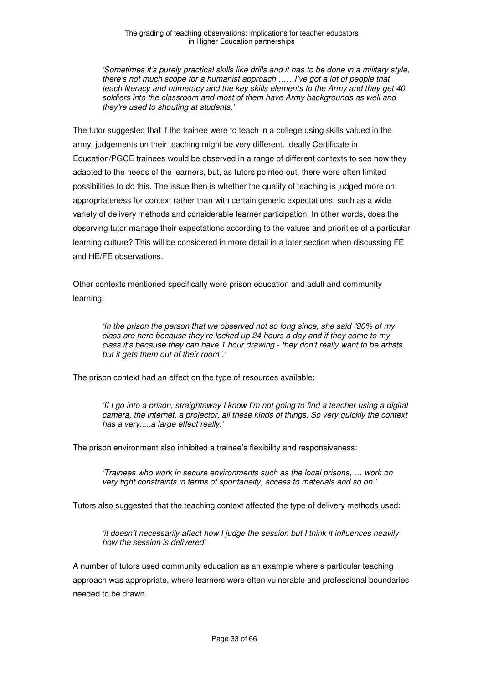'Sometimes it's purely practical skills like drills and it has to be done in a military style, there's not much scope for a humanist approach ……I've got a lot of people that teach literacy and numeracy and the key skills elements to the Army and they get 40 soldiers into the classroom and most of them have Army backgrounds as well and they're used to shouting at students.'

The tutor suggested that if the trainee were to teach in a college using skills valued in the army, judgements on their teaching might be very different. Ideally Certificate in Education/PGCE trainees would be observed in a range of different contexts to see how they adapted to the needs of the learners, but, as tutors pointed out, there were often limited possibilities to do this. The issue then is whether the quality of teaching is judged more on appropriateness for context rather than with certain generic expectations, such as a wide variety of delivery methods and considerable learner participation. In other words, does the observing tutor manage their expectations according to the values and priorities of a particular learning culture? This will be considered in more detail in a later section when discussing FE and HE/FE observations.

Other contexts mentioned specifically were prison education and adult and community learning:

'In the prison the person that we observed not so long since, she said "90% of my class are here because they're locked up 24 hours a day and if they come to my class it's because they can have 1 hour drawing - they don't really want to be artists but it gets them out of their room".

The prison context had an effect on the type of resources available:

'If I go into a prison, straightaway I know I'm not going to find a teacher using a digital camera, the internet, a projector, all these kinds of things. So very quickly the context has a very.....a large effect really.'

The prison environment also inhibited a trainee's flexibility and responsiveness:

'Trainees who work in secure environments such as the local prisons, … work on very tight constraints in terms of spontaneity, access to materials and so on.'

Tutors also suggested that the teaching context affected the type of delivery methods used:

'it doesn't necessarily affect how I judge the session but I think it influences heavily how the session is delivered'

A number of tutors used community education as an example where a particular teaching approach was appropriate, where learners were often vulnerable and professional boundaries needed to be drawn.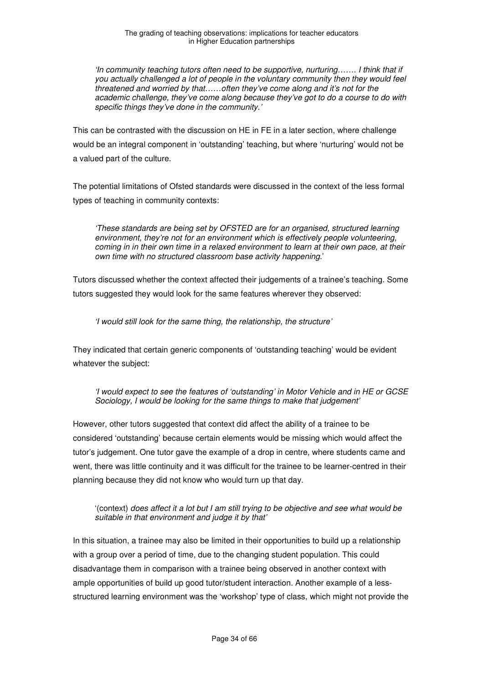'In community teaching tutors often need to be supportive, nurturing……. I think that if you actually challenged a lot of people in the voluntary community then they would feel threatened and worried by that……often they've come along and it's not for the academic challenge, they've come along because they've got to do a course to do with specific things they've done in the community.'

This can be contrasted with the discussion on HE in FE in a later section, where challenge would be an integral component in 'outstanding' teaching, but where 'nurturing' would not be a valued part of the culture.

The potential limitations of Ofsted standards were discussed in the context of the less formal types of teaching in community contexts:

'These standards are being set by OFSTED are for an organised, structured learning environment, they're not for an environment which is effectively people volunteering, coming in in their own time in a relaxed environment to learn at their own pace, at their own time with no structured classroom base activity happening.'

Tutors discussed whether the context affected their judgements of a trainee's teaching. Some tutors suggested they would look for the same features wherever they observed:

'I would still look for the same thing, the relationship, the structure'

They indicated that certain generic components of 'outstanding teaching' would be evident whatever the subject:

'I would expect to see the features of 'outstanding' in Motor Vehicle and in HE or GCSE Sociology, I would be looking for the same things to make that judgement'

However, other tutors suggested that context did affect the ability of a trainee to be considered 'outstanding' because certain elements would be missing which would affect the tutor's judgement. One tutor gave the example of a drop in centre, where students came and went, there was little continuity and it was difficult for the trainee to be learner-centred in their planning because they did not know who would turn up that day.

'(context) does affect it a lot but I am still trying to be objective and see what would be suitable in that environment and judge it by that'

In this situation, a trainee may also be limited in their opportunities to build up a relationship with a group over a period of time, due to the changing student population. This could disadvantage them in comparison with a trainee being observed in another context with ample opportunities of build up good tutor/student interaction. Another example of a lessstructured learning environment was the 'workshop' type of class, which might not provide the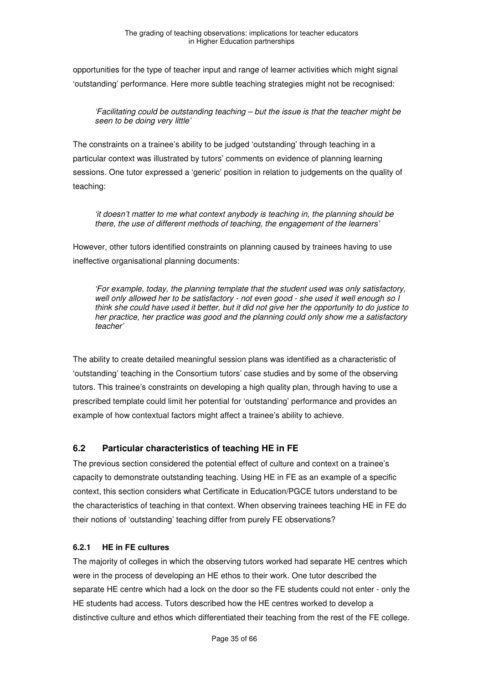opportunities for the type of teacher input and range of learner activities which might signal 'outstanding' performance. Here more subtle teaching strategies might not be recognised:

'Facilitating could be outstanding teaching – but the issue is that the teacher might be seen to be doing very little'

The constraints on a trainee's ability to be judged 'outstanding' through teaching in a particular context was illustrated by tutors' comments on evidence of planning learning sessions. One tutor expressed a 'generic' position in relation to judgements on the quality of teaching:

'it doesn't matter to me what context anybody is teaching in, the planning should be there, the use of different methods of teaching, the engagement of the learners'

However, other tutors identified constraints on planning caused by trainees having to use ineffective organisational planning documents:

'For example, today, the planning template that the student used was only satisfactory, well only allowed her to be satisfactory - not even good - she used it well enough so I think she could have used it better, but it did not give her the opportunity to do justice to her practice, her practice was good and the planning could only show me a satisfactory teacher'

The ability to create detailed meaningful session plans was identified as a characteristic of 'outstanding' teaching in the Consortium tutors' case studies and by some of the observing tutors. This trainee's constraints on developing a high quality plan, through having to use a prescribed template could limit her potential for 'outstanding' performance and provides an example of how contextual factors might affect a trainee's ability to achieve.

#### **6.2 Particular characteristics of teaching HE in FE**

The previous section considered the potential effect of culture and context on a trainee's capacity to demonstrate outstanding teaching. Using HE in FE as an example of a specific context, this section considers what Certificate in Education/PGCE tutors understand to be the characteristics of teaching in that context. When observing trainees teaching HE in FE do their notions of 'outstanding' teaching differ from purely FE observations?

#### **6.2.1 HE in FE cultures**

The majority of colleges in which the observing tutors worked had separate HE centres which were in the process of developing an HE ethos to their work. One tutor described the separate HE centre which had a lock on the door so the FE students could not enter - only the HE students had access. Tutors described how the HE centres worked to develop a distinctive culture and ethos which differentiated their teaching from the rest of the FE college.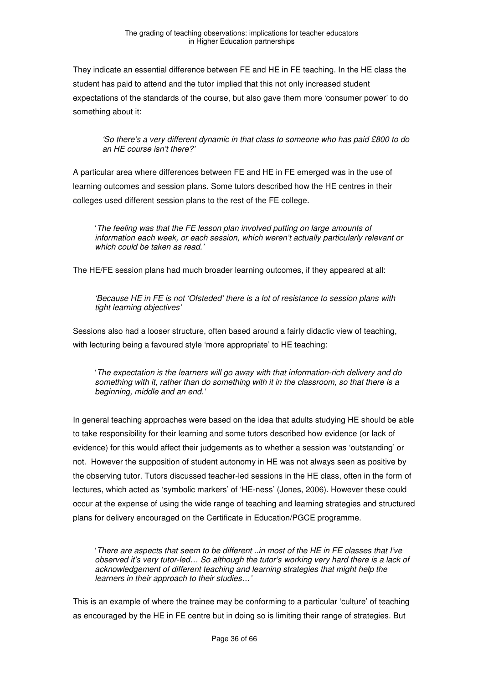They indicate an essential difference between FE and HE in FE teaching. In the HE class the student has paid to attend and the tutor implied that this not only increased student expectations of the standards of the course, but also gave them more 'consumer power' to do something about it:

'So there's a very different dynamic in that class to someone who has paid £800 to do an HE course isn't there?'

A particular area where differences between FE and HE in FE emerged was in the use of learning outcomes and session plans. Some tutors described how the HE centres in their colleges used different session plans to the rest of the FE college.

'The feeling was that the FE lesson plan involved putting on large amounts of information each week, or each session, which weren't actually particularly relevant or which could be taken as read.'

The HE/FE session plans had much broader learning outcomes, if they appeared at all:

'Because HE in FE is not 'Ofsteded' there is a lot of resistance to session plans with tight learning objectives'

Sessions also had a looser structure, often based around a fairly didactic view of teaching, with lecturing being a favoured style 'more appropriate' to HE teaching:

'The expectation is the learners will go away with that information-rich delivery and do something with it, rather than do something with it in the classroom, so that there is a beginning, middle and an end.'

In general teaching approaches were based on the idea that adults studying HE should be able to take responsibility for their learning and some tutors described how evidence (or lack of evidence) for this would affect their judgements as to whether a session was 'outstanding' or not. However the supposition of student autonomy in HE was not always seen as positive by the observing tutor. Tutors discussed teacher-led sessions in the HE class, often in the form of lectures, which acted as 'symbolic markers' of 'HE-ness' (Jones, 2006). However these could occur at the expense of using the wide range of teaching and learning strategies and structured plans for delivery encouraged on the Certificate in Education/PGCE programme.

'There are aspects that seem to be different ..in most of the HE in FE classes that I've observed it's very tutor-led… So although the tutor's working very hard there is a lack of acknowledgement of different teaching and learning strategies that might help the learners in their approach to their studies…'

This is an example of where the trainee may be conforming to a particular 'culture' of teaching as encouraged by the HE in FE centre but in doing so is limiting their range of strategies. But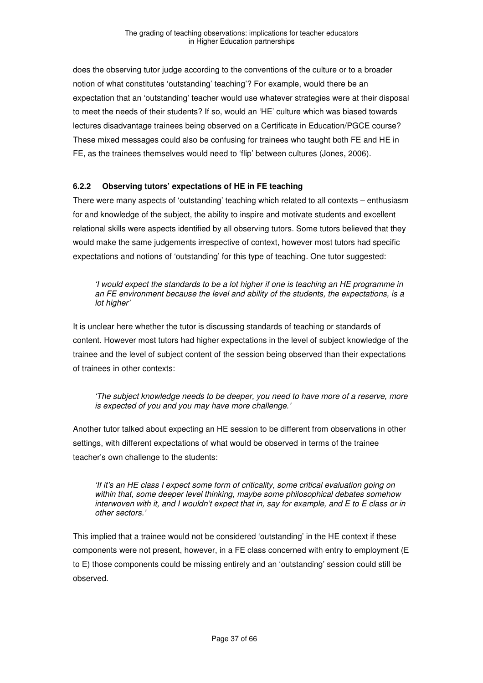does the observing tutor judge according to the conventions of the culture or to a broader notion of what constitutes 'outstanding' teaching'? For example, would there be an expectation that an 'outstanding' teacher would use whatever strategies were at their disposal to meet the needs of their students? If so, would an 'HE' culture which was biased towards lectures disadvantage trainees being observed on a Certificate in Education/PGCE course? These mixed messages could also be confusing for trainees who taught both FE and HE in FE, as the trainees themselves would need to 'flip' between cultures (Jones, 2006).

#### **6.2.2 Observing tutors' expectations of HE in FE teaching**

There were many aspects of 'outstanding' teaching which related to all contexts – enthusiasm for and knowledge of the subject, the ability to inspire and motivate students and excellent relational skills were aspects identified by all observing tutors. Some tutors believed that they would make the same judgements irrespective of context, however most tutors had specific expectations and notions of 'outstanding' for this type of teaching. One tutor suggested:

'I would expect the standards to be a lot higher if one is teaching an HE programme in an FE environment because the level and ability of the students, the expectations, is a lot higher'

It is unclear here whether the tutor is discussing standards of teaching or standards of content. However most tutors had higher expectations in the level of subject knowledge of the trainee and the level of subject content of the session being observed than their expectations of trainees in other contexts:

'The subject knowledge needs to be deeper, you need to have more of a reserve, more is expected of you and you may have more challenge.'

Another tutor talked about expecting an HE session to be different from observations in other settings, with different expectations of what would be observed in terms of the trainee teacher's own challenge to the students:

'If it's an HE class I expect some form of criticality, some critical evaluation going on within that, some deeper level thinking, maybe some philosophical debates somehow interwoven with it, and I wouldn't expect that in, say for example, and E to E class or in other sectors.'

This implied that a trainee would not be considered 'outstanding' in the HE context if these components were not present, however, in a FE class concerned with entry to employment (E to E) those components could be missing entirely and an 'outstanding' session could still be observed.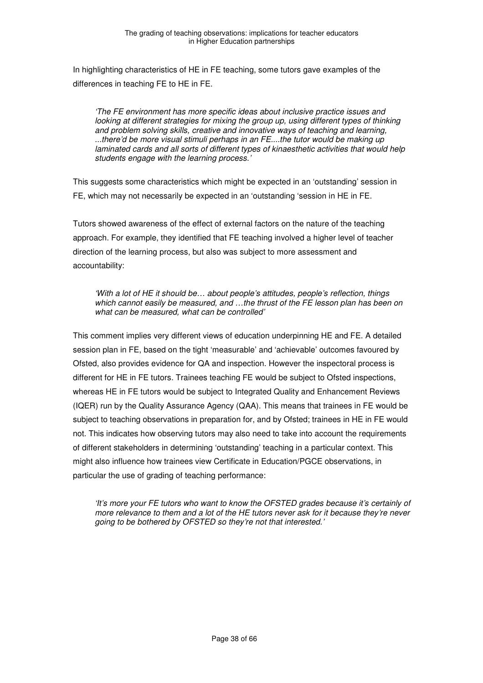In highlighting characteristics of HE in FE teaching, some tutors gave examples of the differences in teaching FE to HE in FE.

'The FE environment has more specific ideas about inclusive practice issues and looking at different strategies for mixing the group up, using different types of thinking and problem solving skills, creative and innovative ways of teaching and learning, ...there'd be more visual stimuli perhaps in an FE....the tutor would be making up laminated cards and all sorts of different types of kinaesthetic activities that would help students engage with the learning process.'

This suggests some characteristics which might be expected in an 'outstanding' session in FE, which may not necessarily be expected in an 'outstanding 'session in HE in FE.

Tutors showed awareness of the effect of external factors on the nature of the teaching approach. For example, they identified that FE teaching involved a higher level of teacher direction of the learning process, but also was subject to more assessment and accountability:

'With a lot of HE it should be… about people's attitudes, people's reflection, things which cannot easily be measured, and ...the thrust of the FE lesson plan has been on what can be measured, what can be controlled'

This comment implies very different views of education underpinning HE and FE. A detailed session plan in FE, based on the tight 'measurable' and 'achievable' outcomes favoured by Ofsted, also provides evidence for QA and inspection. However the inspectoral process is different for HE in FE tutors. Trainees teaching FE would be subject to Ofsted inspections, whereas HE in FE tutors would be subject to Integrated Quality and Enhancement Reviews (IQER) run by the Quality Assurance Agency (QAA). This means that trainees in FE would be subject to teaching observations in preparation for, and by Ofsted; trainees in HE in FE would not. This indicates how observing tutors may also need to take into account the requirements of different stakeholders in determining 'outstanding' teaching in a particular context. This might also influence how trainees view Certificate in Education/PGCE observations, in particular the use of grading of teaching performance:

'It's more your FE tutors who want to know the OFSTED grades because it's certainly of more relevance to them and a lot of the HE tutors never ask for it because they're never going to be bothered by OFSTED so they're not that interested.'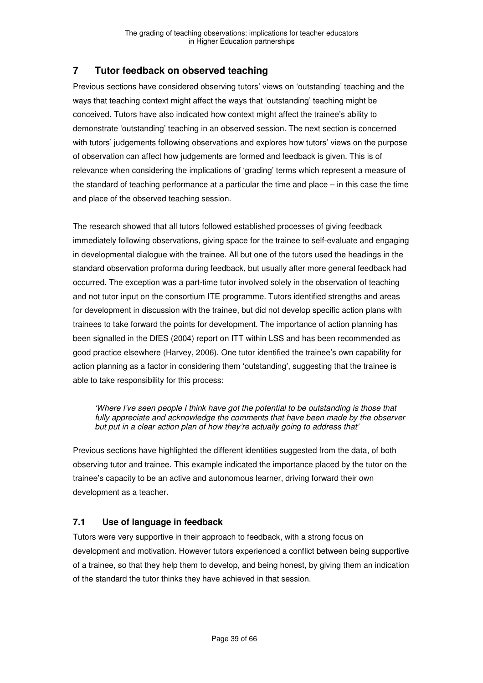# **7 Tutor feedback on observed teaching**

Previous sections have considered observing tutors' views on 'outstanding' teaching and the ways that teaching context might affect the ways that 'outstanding' teaching might be conceived. Tutors have also indicated how context might affect the trainee's ability to demonstrate 'outstanding' teaching in an observed session. The next section is concerned with tutors' judgements following observations and explores how tutors' views on the purpose of observation can affect how judgements are formed and feedback is given. This is of relevance when considering the implications of 'grading' terms which represent a measure of the standard of teaching performance at a particular the time and place – in this case the time and place of the observed teaching session.

The research showed that all tutors followed established processes of giving feedback immediately following observations, giving space for the trainee to self-evaluate and engaging in developmental dialogue with the trainee. All but one of the tutors used the headings in the standard observation proforma during feedback, but usually after more general feedback had occurred. The exception was a part-time tutor involved solely in the observation of teaching and not tutor input on the consortium ITE programme. Tutors identified strengths and areas for development in discussion with the trainee, but did not develop specific action plans with trainees to take forward the points for development. The importance of action planning has been signalled in the DfES (2004) report on ITT within LSS and has been recommended as good practice elsewhere (Harvey, 2006). One tutor identified the trainee's own capability for action planning as a factor in considering them 'outstanding', suggesting that the trainee is able to take responsibility for this process:

'Where I've seen people I think have got the potential to be outstanding is those that fully appreciate and acknowledge the comments that have been made by the observer but put in a clear action plan of how they're actually going to address that'

Previous sections have highlighted the different identities suggested from the data, of both observing tutor and trainee. This example indicated the importance placed by the tutor on the trainee's capacity to be an active and autonomous learner, driving forward their own development as a teacher.

# **7.1 Use of language in feedback**

Tutors were very supportive in their approach to feedback, with a strong focus on development and motivation. However tutors experienced a conflict between being supportive of a trainee, so that they help them to develop, and being honest, by giving them an indication of the standard the tutor thinks they have achieved in that session.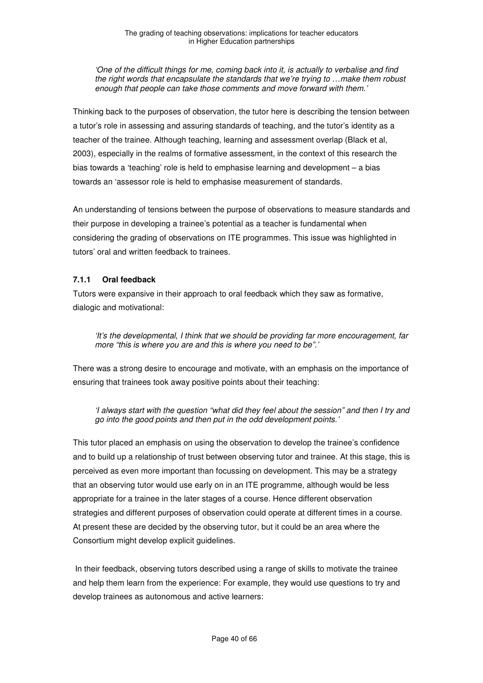'One of the difficult things for me, coming back into it, is actually to verbalise and find the right words that encapsulate the standards that we're trying to …make them robust enough that people can take those comments and move forward with them.'

Thinking back to the purposes of observation, the tutor here is describing the tension between a tutor's role in assessing and assuring standards of teaching, and the tutor's identity as a teacher of the trainee. Although teaching, learning and assessment overlap (Black et al, 2003), especially in the realms of formative assessment, in the context of this research the bias towards a 'teaching' role is held to emphasise learning and development – a bias towards an 'assessor role is held to emphasise measurement of standards.

An understanding of tensions between the purpose of observations to measure standards and their purpose in developing a trainee's potential as a teacher is fundamental when considering the grading of observations on ITE programmes. This issue was highlighted in tutors' oral and written feedback to trainees.

#### **7.1.1 Oral feedback**

Tutors were expansive in their approach to oral feedback which they saw as formative, dialogic and motivational:

'It's the developmental, I think that we should be providing far more encouragement, far more "this is where you are and this is where you need to be".'

There was a strong desire to encourage and motivate, with an emphasis on the importance of ensuring that trainees took away positive points about their teaching:

'I always start with the question "what did they feel about the session" and then I try and go into the good points and then put in the odd development points.'

This tutor placed an emphasis on using the observation to develop the trainee's confidence and to build up a relationship of trust between observing tutor and trainee. At this stage, this is perceived as even more important than focussing on development. This may be a strategy that an observing tutor would use early on in an ITE programme, although would be less appropriate for a trainee in the later stages of a course. Hence different observation strategies and different purposes of observation could operate at different times in a course. At present these are decided by the observing tutor, but it could be an area where the Consortium might develop explicit guidelines.

 In their feedback, observing tutors described using a range of skills to motivate the trainee and help them learn from the experience: For example, they would use questions to try and develop trainees as autonomous and active learners: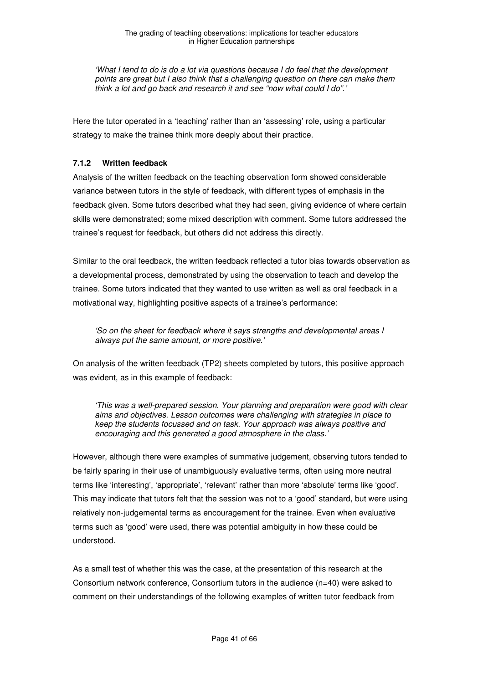'What I tend to do is do a lot via questions because I do feel that the development points are great but I also think that a challenging question on there can make them think a lot and go back and research it and see "now what could I do".'

Here the tutor operated in a 'teaching' rather than an 'assessing' role, using a particular strategy to make the trainee think more deeply about their practice.

### **7.1.2 Written feedback**

Analysis of the written feedback on the teaching observation form showed considerable variance between tutors in the style of feedback, with different types of emphasis in the feedback given. Some tutors described what they had seen, giving evidence of where certain skills were demonstrated; some mixed description with comment. Some tutors addressed the trainee's request for feedback, but others did not address this directly.

Similar to the oral feedback, the written feedback reflected a tutor bias towards observation as a developmental process, demonstrated by using the observation to teach and develop the trainee. Some tutors indicated that they wanted to use written as well as oral feedback in a motivational way, highlighting positive aspects of a trainee's performance:

'So on the sheet for feedback where it says strengths and developmental areas I always put the same amount, or more positive.'

On analysis of the written feedback (TP2) sheets completed by tutors, this positive approach was evident, as in this example of feedback:

'This was a well-prepared session. Your planning and preparation were good with clear aims and objectives. Lesson outcomes were challenging with strategies in place to keep the students focussed and on task. Your approach was always positive and encouraging and this generated a good atmosphere in the class.'

However, although there were examples of summative judgement, observing tutors tended to be fairly sparing in their use of unambiguously evaluative terms, often using more neutral terms like 'interesting', 'appropriate', 'relevant' rather than more 'absolute' terms like 'good'. This may indicate that tutors felt that the session was not to a 'good' standard, but were using relatively non-judgemental terms as encouragement for the trainee. Even when evaluative terms such as 'good' were used, there was potential ambiguity in how these could be understood.

As a small test of whether this was the case, at the presentation of this research at the Consortium network conference, Consortium tutors in the audience (n=40) were asked to comment on their understandings of the following examples of written tutor feedback from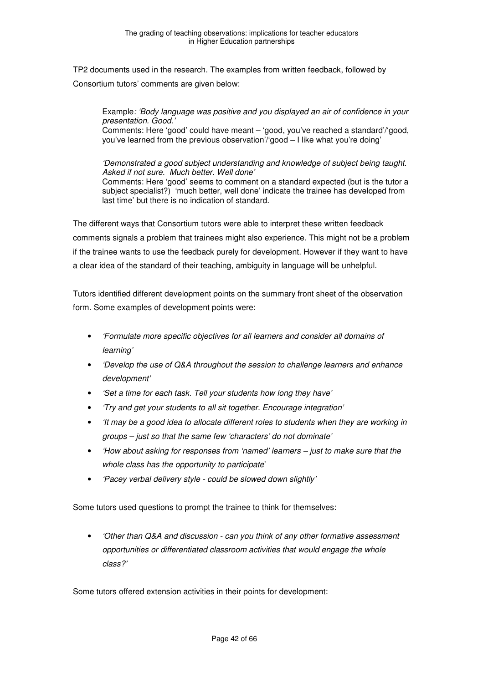TP2 documents used in the research. The examples from written feedback, followed by Consortium tutors' comments are given below:

Example: 'Body language was positive and you displayed an air of confidence in your presentation. Good.' Comments: Here 'good' could have meant – 'good, you've reached a standard'/'good, you've learned from the previous observation'/'good – I like what you're doing'

'Demonstrated a good subject understanding and knowledge of subject being taught. Asked if not sure. Much better. Well done' Comments: Here 'good' seems to comment on a standard expected (but is the tutor a subject specialist?) 'much better, well done' indicate the trainee has developed from last time' but there is no indication of standard.

The different ways that Consortium tutors were able to interpret these written feedback comments signals a problem that trainees might also experience. This might not be a problem if the trainee wants to use the feedback purely for development. However if they want to have a clear idea of the standard of their teaching, ambiguity in language will be unhelpful.

Tutors identified different development points on the summary front sheet of the observation form. Some examples of development points were:

- 'Formulate more specific objectives for all learners and consider all domains of learning'
- 'Develop the use of Q&A throughout the session to challenge learners and enhance development'
- 'Set a time for each task. Tell your students how long they have'
- 'Try and get your students to all sit together. Encourage integration'
- 'It may be a good idea to allocate different roles to students when they are working in groups – just so that the same few 'characters' do not dominate'
- 'How about asking for responses from 'named' learners just to make sure that the whole class has the opportunity to participate'
- 'Pacey verbal delivery style could be slowed down slightly'

Some tutors used questions to prompt the trainee to think for themselves:

• 'Other than Q&A and discussion - can you think of any other formative assessment opportunities or differentiated classroom activities that would engage the whole class?'

Some tutors offered extension activities in their points for development: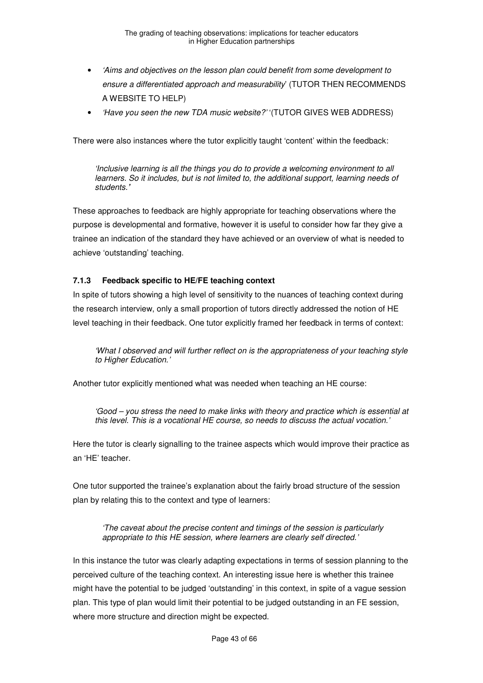- 'Aims and objectives on the lesson plan could benefit from some development to ensure a differentiated approach and measurability' (TUTOR THEN RECOMMENDS A WEBSITE TO HELP)
- 'Have you seen the new TDA music website?' '(TUTOR GIVES WEB ADDRESS)

There were also instances where the tutor explicitly taught 'content' within the feedback:

'Inclusive learning is all the things you do to provide a welcoming environment to all learners. So it includes, but is not limited to, the additional support, learning needs of students.**'** 

These approaches to feedback are highly appropriate for teaching observations where the purpose is developmental and formative, however it is useful to consider how far they give a trainee an indication of the standard they have achieved or an overview of what is needed to achieve 'outstanding' teaching.

#### **7.1.3 Feedback specific to HE/FE teaching context**

In spite of tutors showing a high level of sensitivity to the nuances of teaching context during the research interview, only a small proportion of tutors directly addressed the notion of HE level teaching in their feedback. One tutor explicitly framed her feedback in terms of context:

'What I observed and will further reflect on is the appropriateness of your teaching style to Higher Education.'

Another tutor explicitly mentioned what was needed when teaching an HE course:

'Good – you stress the need to make links with theory and practice which is essential at this level. This is a vocational HE course, so needs to discuss the actual vocation.'

Here the tutor is clearly signalling to the trainee aspects which would improve their practice as an 'HE' teacher.

One tutor supported the trainee's explanation about the fairly broad structure of the session plan by relating this to the context and type of learners:

'The caveat about the precise content and timings of the session is particularly appropriate to this HE session, where learners are clearly self directed.'

In this instance the tutor was clearly adapting expectations in terms of session planning to the perceived culture of the teaching context. An interesting issue here is whether this trainee might have the potential to be judged 'outstanding' in this context, in spite of a vague session plan. This type of plan would limit their potential to be judged outstanding in an FE session, where more structure and direction might be expected.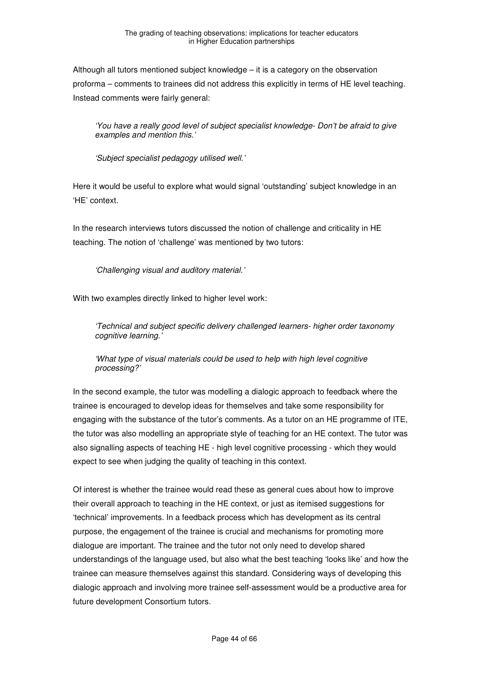Although all tutors mentioned subject knowledge – it is a category on the observation proforma – comments to trainees did not address this explicitly in terms of HE level teaching. Instead comments were fairly general:

'You have a really good level of subject specialist knowledge- Don't be afraid to give examples and mention this.'

'Subject specialist pedagogy utilised well.'

Here it would be useful to explore what would signal 'outstanding' subject knowledge in an 'HE' context.

In the research interviews tutors discussed the notion of challenge and criticality in HE teaching. The notion of 'challenge' was mentioned by two tutors:

'Challenging visual and auditory material.'

With two examples directly linked to higher level work:

'Technical and subject specific delivery challenged learners- higher order taxonomy cognitive learning.

'What type of visual materials could be used to help with high level cognitive processing?'

In the second example, the tutor was modelling a dialogic approach to feedback where the trainee is encouraged to develop ideas for themselves and take some responsibility for engaging with the substance of the tutor's comments. As a tutor on an HE programme of ITE, the tutor was also modelling an appropriate style of teaching for an HE context. The tutor was also signalling aspects of teaching HE - high level cognitive processing - which they would expect to see when judging the quality of teaching in this context.

Of interest is whether the trainee would read these as general cues about how to improve their overall approach to teaching in the HE context, or just as itemised suggestions for 'technical' improvements. In a feedback process which has development as its central purpose, the engagement of the trainee is crucial and mechanisms for promoting more dialogue are important. The trainee and the tutor not only need to develop shared understandings of the language used, but also what the best teaching 'looks like' and how the trainee can measure themselves against this standard. Considering ways of developing this dialogic approach and involving more trainee self-assessment would be a productive area for future development Consortium tutors.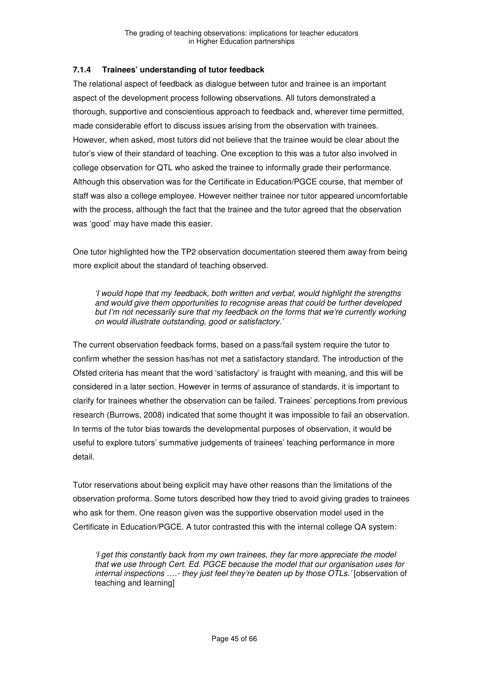#### **7.1.4 Trainees' understanding of tutor feedback**

The relational aspect of feedback as dialogue between tutor and trainee is an important aspect of the development process following observations. All tutors demonstrated a thorough, supportive and conscientious approach to feedback and, wherever time permitted, made considerable effort to discuss issues arising from the observation with trainees. However, when asked, most tutors did not believe that the trainee would be clear about the tutor's view of their standard of teaching. One exception to this was a tutor also involved in college observation for QTL who asked the trainee to informally grade their performance. Although this observation was for the Certificate in Education/PGCE course, that member of staff was also a college employee. However neither trainee nor tutor appeared uncomfortable with the process, although the fact that the trainee and the tutor agreed that the observation was 'good' may have made this easier.

One tutor highlighted how the TP2 observation documentation steered them away from being more explicit about the standard of teaching observed.

'I would hope that my feedback, both written and verbal, would highlight the strengths and would give them opportunities to recognise areas that could be further developed but I'm not necessarily sure that my feedback on the forms that we're currently working on would illustrate outstanding, good or satisfactory.'

The current observation feedback forms, based on a pass/fail system require the tutor to confirm whether the session has/has not met a satisfactory standard. The introduction of the Ofsted criteria has meant that the word 'satisfactory' is fraught with meaning, and this will be considered in a later section. However in terms of assurance of standards, it is important to clarify for trainees whether the observation can be failed. Trainees' perceptions from previous research (Burrows, 2008) indicated that some thought it was impossible to fail an observation. In terms of the tutor bias towards the developmental purposes of observation, it would be useful to explore tutors' summative judgements of trainees' teaching performance in more detail.

Tutor reservations about being explicit may have other reasons than the limitations of the observation proforma. Some tutors described how they tried to avoid giving grades to trainees who ask for them. One reason given was the supportive observation model used in the Certificate in Education/PGCE. A tutor contrasted this with the internal college QA system:

'I get this constantly back from my own trainees, they far more appreciate the model that we use through Cert. Ed. PGCE because the model that our organisation uses for internal inspections ….- they just feel they're beaten up by those OTLs.' [observation of teaching and learning]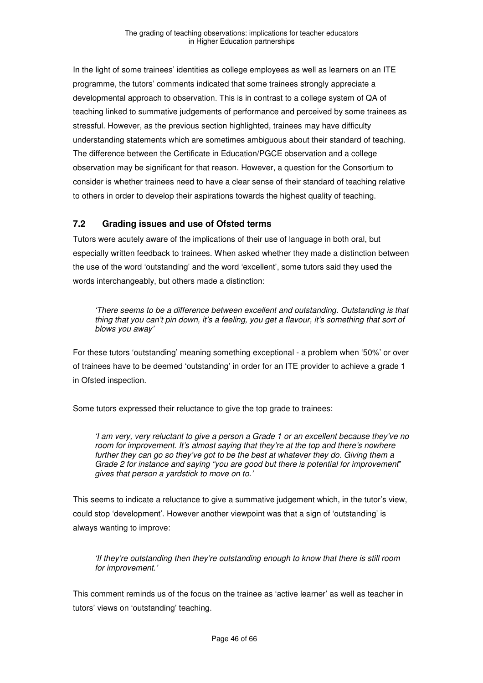In the light of some trainees' identities as college employees as well as learners on an ITE programme, the tutors' comments indicated that some trainees strongly appreciate a developmental approach to observation. This is in contrast to a college system of QA of teaching linked to summative judgements of performance and perceived by some trainees as stressful. However, as the previous section highlighted, trainees may have difficulty understanding statements which are sometimes ambiguous about their standard of teaching. The difference between the Certificate in Education/PGCE observation and a college observation may be significant for that reason. However, a question for the Consortium to consider is whether trainees need to have a clear sense of their standard of teaching relative to others in order to develop their aspirations towards the highest quality of teaching.

# **7.2 Grading issues and use of Ofsted terms**

Tutors were acutely aware of the implications of their use of language in both oral, but especially written feedback to trainees. When asked whether they made a distinction between the use of the word 'outstanding' and the word 'excellent', some tutors said they used the words interchangeably, but others made a distinction:

'There seems to be a difference between excellent and outstanding. Outstanding is that thing that you can't pin down, it's a feeling, you get a flavour, it's something that sort of blows you away'

For these tutors 'outstanding' meaning something exceptional - a problem when '50%' or over of trainees have to be deemed 'outstanding' in order for an ITE provider to achieve a grade 1 in Ofsted inspection.

Some tutors expressed their reluctance to give the top grade to trainees:

'I am very, very reluctant to give a person a Grade 1 or an excellent because they've no room for improvement. It's almost saying that they're at the top and there's nowhere further they can go so they've got to be the best at whatever they do. Giving them a Grade 2 for instance and saying "you are good but there is potential for improvement" gives that person a yardstick to move on to.'

This seems to indicate a reluctance to give a summative judgement which, in the tutor's view, could stop 'development'. However another viewpoint was that a sign of 'outstanding' is always wanting to improve:

'If they're outstanding then they're outstanding enough to know that there is still room for improvement.'

This comment reminds us of the focus on the trainee as 'active learner' as well as teacher in tutors' views on 'outstanding' teaching.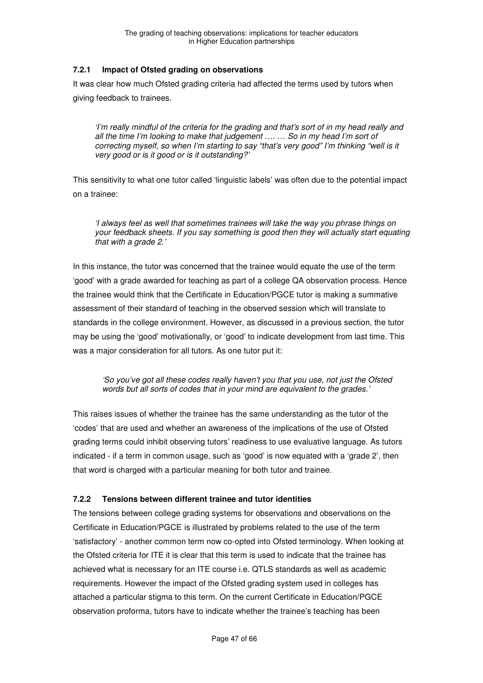### **7.2.1 Impact of Ofsted grading on observations**

It was clear how much Ofsted grading criteria had affected the terms used by tutors when giving feedback to trainees.

'I'm really mindful of the criteria for the grading and that's sort of in my head really and all the time I'm looking to make that judgement …. … So in my head I'm sort of correcting myself, so when I'm starting to say "that's very good" I'm thinking "well is it very good or is it good or is it outstanding?'

This sensitivity to what one tutor called 'linguistic labels' was often due to the potential impact on a trainee:

'I always feel as well that sometimes trainees will take the way you phrase things on your feedback sheets. If you say something is good then they will actually start equating that with a grade 2.'

In this instance, the tutor was concerned that the trainee would equate the use of the term 'good' with a grade awarded for teaching as part of a college QA observation process. Hence the trainee would think that the Certificate in Education/PGCE tutor is making a summative assessment of their standard of teaching in the observed session which will translate to standards in the college environment. However, as discussed in a previous section, the tutor may be using the 'good' motivationally, or 'good' to indicate development from last time. This was a major consideration for all tutors. As one tutor put it:

'So you've got all these codes really haven't you that you use, not just the Ofsted words but all sorts of codes that in your mind are equivalent to the grades.'

This raises issues of whether the trainee has the same understanding as the tutor of the 'codes' that are used and whether an awareness of the implications of the use of Ofsted grading terms could inhibit observing tutors' readiness to use evaluative language. As tutors indicated - if a term in common usage, such as 'good' is now equated with a 'grade 2', then that word is charged with a particular meaning for both tutor and trainee.

#### **7.2.2 Tensions between different trainee and tutor identities**

The tensions between college grading systems for observations and observations on the Certificate in Education/PGCE is illustrated by problems related to the use of the term 'satisfactory' - another common term now co-opted into Ofsted terminology. When looking at the Ofsted criteria for ITE it is clear that this term is used to indicate that the trainee has achieved what is necessary for an ITE course i.e. QTLS standards as well as academic requirements. However the impact of the Ofsted grading system used in colleges has attached a particular stigma to this term. On the current Certificate in Education/PGCE observation proforma, tutors have to indicate whether the trainee's teaching has been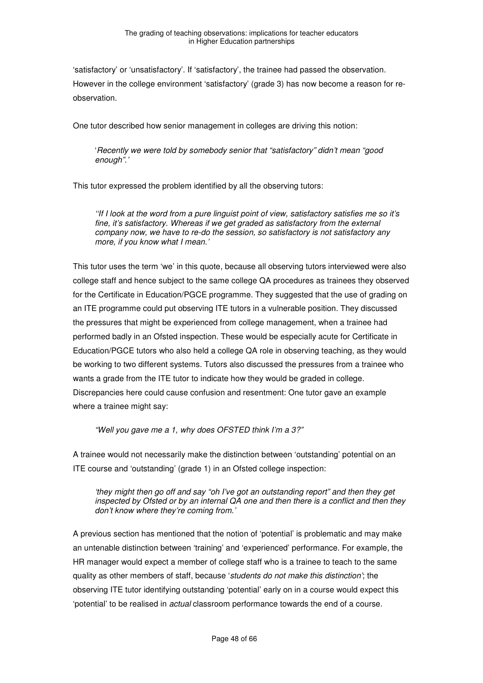'satisfactory' or 'unsatisfactory'. If 'satisfactory', the trainee had passed the observation. However in the college environment 'satisfactory' (grade 3) has now become a reason for reobservation.

One tutor described how senior management in colleges are driving this notion:

'Recently we were told by somebody senior that "satisfactory" didn't mean "good enough".'

This tutor expressed the problem identified by all the observing tutors:

''If I look at the word from a pure linguist point of view, satisfactory satisfies me so it's fine, it's satisfactory. Whereas if we get graded as satisfactory from the external company now, we have to re-do the session, so satisfactory is not satisfactory any more, if you know what I mean.'

This tutor uses the term 'we' in this quote, because all observing tutors interviewed were also college staff and hence subject to the same college QA procedures as trainees they observed for the Certificate in Education/PGCE programme. They suggested that the use of grading on an ITE programme could put observing ITE tutors in a vulnerable position. They discussed the pressures that might be experienced from college management, when a trainee had performed badly in an Ofsted inspection. These would be especially acute for Certificate in Education/PGCE tutors who also held a college QA role in observing teaching, as they would be working to two different systems. Tutors also discussed the pressures from a trainee who wants a grade from the ITE tutor to indicate how they would be graded in college. Discrepancies here could cause confusion and resentment: One tutor gave an example where a trainee might say:

"Well you gave me a 1, why does OFSTED think I'm a 3?"

A trainee would not necessarily make the distinction between 'outstanding' potential on an ITE course and 'outstanding' (grade 1) in an Ofsted college inspection:

'they might then go off and say "oh I've got an outstanding report" and then they get inspected by Ofsted or by an internal QA one and then there is a conflict and then they don't know where they're coming from.'

A previous section has mentioned that the notion of 'potential' is problematic and may make an untenable distinction between 'training' and 'experienced' performance. For example, the HR manager would expect a member of college staff who is a trainee to teach to the same quality as other members of staff, because 'students do not make this distinction'; the observing ITE tutor identifying outstanding 'potential' early on in a course would expect this 'potential' to be realised in actual classroom performance towards the end of a course.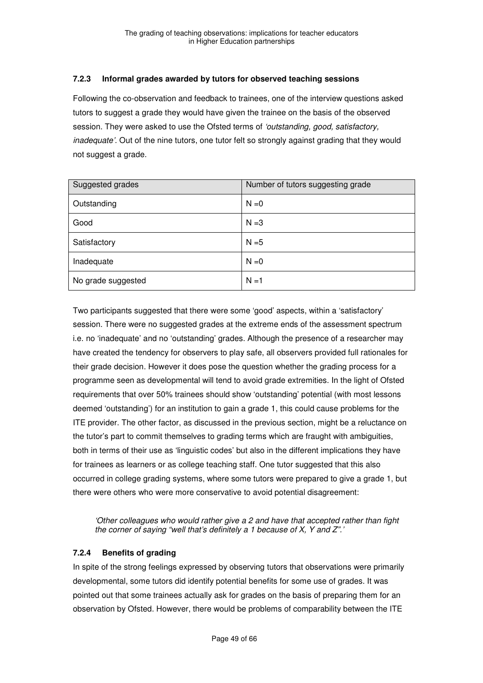#### **7.2.3 Informal grades awarded by tutors for observed teaching sessions**

Following the co-observation and feedback to trainees, one of the interview questions asked tutors to suggest a grade they would have given the trainee on the basis of the observed session. They were asked to use the Ofsted terms of 'outstanding, good, satisfactory, inadequate'. Out of the nine tutors, one tutor felt so strongly against grading that they would not suggest a grade.

| Suggested grades   | Number of tutors suggesting grade |
|--------------------|-----------------------------------|
| Outstanding        | $N = 0$                           |
| Good               | $N = 3$                           |
| Satisfactory       | $N = 5$                           |
| Inadequate         | $N = 0$                           |
| No grade suggested | $N = 1$                           |

Two participants suggested that there were some 'good' aspects, within a 'satisfactory' session. There were no suggested grades at the extreme ends of the assessment spectrum i.e. no 'inadequate' and no 'outstanding' grades. Although the presence of a researcher may have created the tendency for observers to play safe, all observers provided full rationales for their grade decision. However it does pose the question whether the grading process for a programme seen as developmental will tend to avoid grade extremities. In the light of Ofsted requirements that over 50% trainees should show 'outstanding' potential (with most lessons deemed 'outstanding') for an institution to gain a grade 1, this could cause problems for the ITE provider. The other factor, as discussed in the previous section, might be a reluctance on the tutor's part to commit themselves to grading terms which are fraught with ambiguities, both in terms of their use as 'linguistic codes' but also in the different implications they have for trainees as learners or as college teaching staff. One tutor suggested that this also occurred in college grading systems, where some tutors were prepared to give a grade 1, but there were others who were more conservative to avoid potential disagreement:

'Other colleagues who would rather give a 2 and have that accepted rather than fight the corner of saying "well that's definitely a 1 because of X, Y and Z".'

#### **7.2.4 Benefits of grading**

In spite of the strong feelings expressed by observing tutors that observations were primarily developmental, some tutors did identify potential benefits for some use of grades. It was pointed out that some trainees actually ask for grades on the basis of preparing them for an observation by Ofsted. However, there would be problems of comparability between the ITE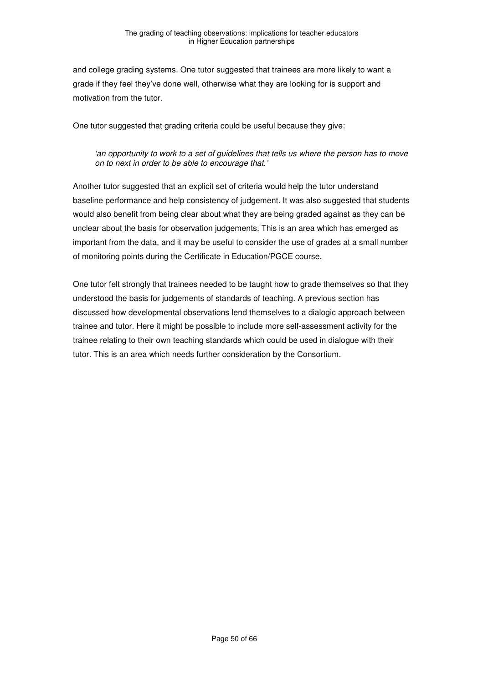and college grading systems. One tutor suggested that trainees are more likely to want a grade if they feel they've done well, otherwise what they are looking for is support and motivation from the tutor.

One tutor suggested that grading criteria could be useful because they give:

#### 'an opportunity to work to a set of guidelines that tells us where the person has to move on to next in order to be able to encourage that.'

Another tutor suggested that an explicit set of criteria would help the tutor understand baseline performance and help consistency of judgement. It was also suggested that students would also benefit from being clear about what they are being graded against as they can be unclear about the basis for observation judgements. This is an area which has emerged as important from the data, and it may be useful to consider the use of grades at a small number of monitoring points during the Certificate in Education/PGCE course.

One tutor felt strongly that trainees needed to be taught how to grade themselves so that they understood the basis for judgements of standards of teaching. A previous section has discussed how developmental observations lend themselves to a dialogic approach between trainee and tutor. Here it might be possible to include more self-assessment activity for the trainee relating to their own teaching standards which could be used in dialogue with their tutor. This is an area which needs further consideration by the Consortium.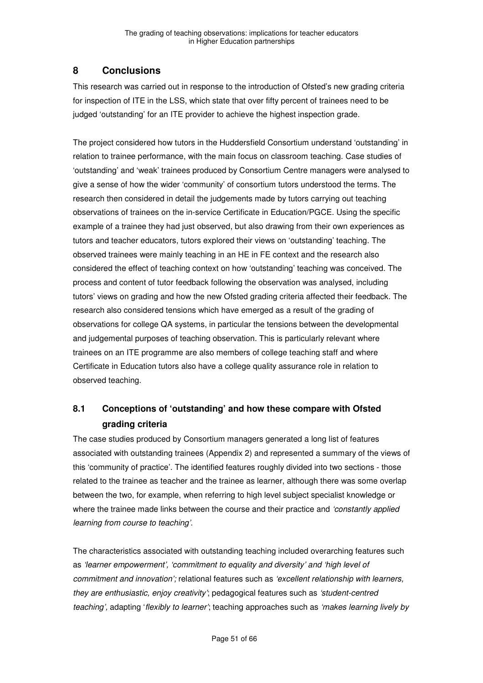# **8 Conclusions**

This research was carried out in response to the introduction of Ofsted's new grading criteria for inspection of ITE in the LSS, which state that over fifty percent of trainees need to be judged 'outstanding' for an ITE provider to achieve the highest inspection grade.

The project considered how tutors in the Huddersfield Consortium understand 'outstanding' in relation to trainee performance, with the main focus on classroom teaching. Case studies of 'outstanding' and 'weak' trainees produced by Consortium Centre managers were analysed to give a sense of how the wider 'community' of consortium tutors understood the terms. The research then considered in detail the judgements made by tutors carrying out teaching observations of trainees on the in-service Certificate in Education/PGCE. Using the specific example of a trainee they had just observed, but also drawing from their own experiences as tutors and teacher educators, tutors explored their views on 'outstanding' teaching. The observed trainees were mainly teaching in an HE in FE context and the research also considered the effect of teaching context on how 'outstanding' teaching was conceived. The process and content of tutor feedback following the observation was analysed, including tutors' views on grading and how the new Ofsted grading criteria affected their feedback. The research also considered tensions which have emerged as a result of the grading of observations for college QA systems, in particular the tensions between the developmental and judgemental purposes of teaching observation. This is particularly relevant where trainees on an ITE programme are also members of college teaching staff and where Certificate in Education tutors also have a college quality assurance role in relation to observed teaching.

# **8.1 Conceptions of 'outstanding' and how these compare with Ofsted grading criteria**

The case studies produced by Consortium managers generated a long list of features associated with outstanding trainees (Appendix 2) and represented a summary of the views of this 'community of practice'. The identified features roughly divided into two sections - those related to the trainee as teacher and the trainee as learner, although there was some overlap between the two, for example, when referring to high level subject specialist knowledge or where the trainee made links between the course and their practice and 'constantly applied learning from course to teaching'.

The characteristics associated with outstanding teaching included overarching features such as 'learner empowerment', 'commitment to equality and diversity' and 'high level of commitment and innovation'; relational features such as 'excellent relationship with learners, they are enthusiastic, enjoy creativity'; pedagogical features such as 'student-centred teaching', adapting 'flexibly to learner'; teaching approaches such as 'makes learning lively by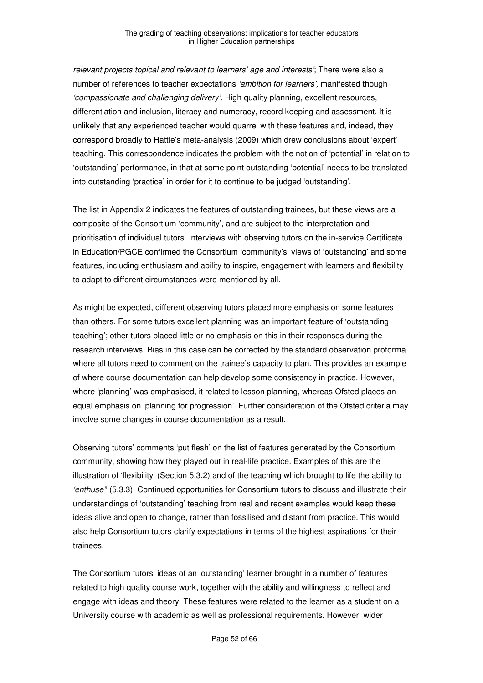relevant projects topical and relevant to learners' age and interests'; There were also a number of references to teacher expectations 'ambition for learners', manifested though 'compassionate and challenging delivery'. High quality planning, excellent resources, differentiation and inclusion, literacy and numeracy, record keeping and assessment. It is unlikely that any experienced teacher would quarrel with these features and, indeed, they correspond broadly to Hattie's meta-analysis (2009) which drew conclusions about 'expert' teaching. This correspondence indicates the problem with the notion of 'potential' in relation to 'outstanding' performance, in that at some point outstanding 'potential' needs to be translated into outstanding 'practice' in order for it to continue to be judged 'outstanding'.

The list in Appendix 2 indicates the features of outstanding trainees, but these views are a composite of the Consortium 'community', and are subject to the interpretation and prioritisation of individual tutors. Interviews with observing tutors on the in-service Certificate in Education/PGCE confirmed the Consortium 'community's' views of 'outstanding' and some features, including enthusiasm and ability to inspire, engagement with learners and flexibility to adapt to different circumstances were mentioned by all.

As might be expected, different observing tutors placed more emphasis on some features than others. For some tutors excellent planning was an important feature of 'outstanding teaching'; other tutors placed little or no emphasis on this in their responses during the research interviews. Bias in this case can be corrected by the standard observation proforma where all tutors need to comment on the trainee's capacity to plan. This provides an example of where course documentation can help develop some consistency in practice. However, where 'planning' was emphasised, it related to lesson planning, whereas Ofsted places an equal emphasis on 'planning for progression'. Further consideration of the Ofsted criteria may involve some changes in course documentation as a result.

Observing tutors' comments 'put flesh' on the list of features generated by the Consortium community, showing how they played out in real-life practice. Examples of this are the illustration of 'flexibility' (Section 5.3.2) and of the teaching which brought to life the ability to 'enthuse'' (5.3.3). Continued opportunities for Consortium tutors to discuss and illustrate their understandings of 'outstanding' teaching from real and recent examples would keep these ideas alive and open to change, rather than fossilised and distant from practice. This would also help Consortium tutors clarify expectations in terms of the highest aspirations for their trainees.

The Consortium tutors' ideas of an 'outstanding' learner brought in a number of features related to high quality course work, together with the ability and willingness to reflect and engage with ideas and theory. These features were related to the learner as a student on a University course with academic as well as professional requirements. However, wider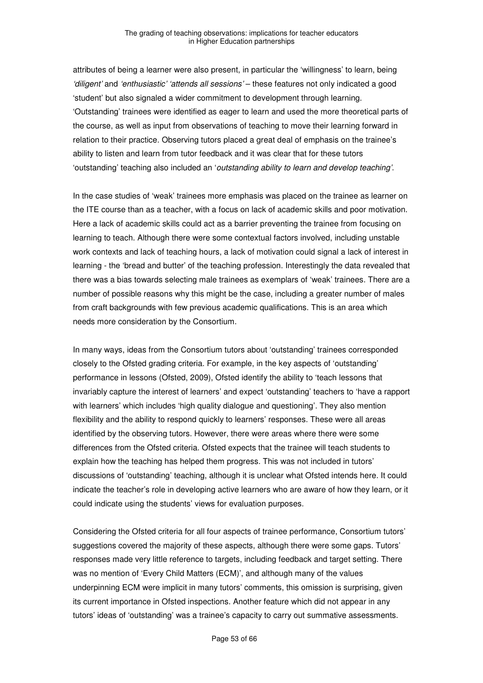attributes of being a learner were also present, in particular the 'willingness' to learn, being 'diligent' and 'enthusiastic' 'attends all sessions' – these features not only indicated a good 'student' but also signaled a wider commitment to development through learning. 'Outstanding' trainees were identified as eager to learn and used the more theoretical parts of the course, as well as input from observations of teaching to move their learning forward in relation to their practice. Observing tutors placed a great deal of emphasis on the trainee's ability to listen and learn from tutor feedback and it was clear that for these tutors 'outstanding' teaching also included an 'outstanding ability to learn and develop teaching'.

In the case studies of 'weak' trainees more emphasis was placed on the trainee as learner on the ITE course than as a teacher, with a focus on lack of academic skills and poor motivation. Here a lack of academic skills could act as a barrier preventing the trainee from focusing on learning to teach. Although there were some contextual factors involved, including unstable work contexts and lack of teaching hours, a lack of motivation could signal a lack of interest in learning - the 'bread and butter' of the teaching profession. Interestingly the data revealed that there was a bias towards selecting male trainees as exemplars of 'weak' trainees. There are a number of possible reasons why this might be the case, including a greater number of males from craft backgrounds with few previous academic qualifications. This is an area which needs more consideration by the Consortium.

In many ways, ideas from the Consortium tutors about 'outstanding' trainees corresponded closely to the Ofsted grading criteria. For example, in the key aspects of 'outstanding' performance in lessons (Ofsted, 2009), Ofsted identify the ability to 'teach lessons that invariably capture the interest of learners' and expect 'outstanding' teachers to 'have a rapport with learners' which includes 'high quality dialogue and questioning'. They also mention flexibility and the ability to respond quickly to learners' responses. These were all areas identified by the observing tutors. However, there were areas where there were some differences from the Ofsted criteria. Ofsted expects that the trainee will teach students to explain how the teaching has helped them progress. This was not included in tutors' discussions of 'outstanding' teaching, although it is unclear what Ofsted intends here. It could indicate the teacher's role in developing active learners who are aware of how they learn, or it could indicate using the students' views for evaluation purposes.

Considering the Ofsted criteria for all four aspects of trainee performance, Consortium tutors' suggestions covered the majority of these aspects, although there were some gaps. Tutors' responses made very little reference to targets, including feedback and target setting. There was no mention of 'Every Child Matters (ECM)', and although many of the values underpinning ECM were implicit in many tutors' comments, this omission is surprising, given its current importance in Ofsted inspections. Another feature which did not appear in any tutors' ideas of 'outstanding' was a trainee's capacity to carry out summative assessments.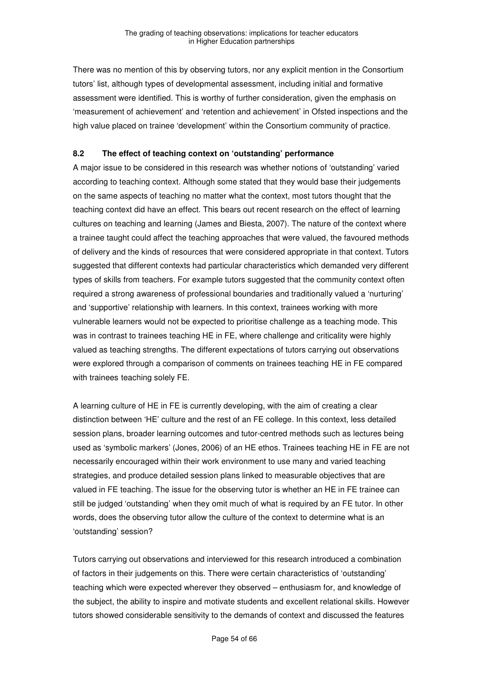There was no mention of this by observing tutors, nor any explicit mention in the Consortium tutors' list, although types of developmental assessment, including initial and formative assessment were identified. This is worthy of further consideration, given the emphasis on 'measurement of achievement' and 'retention and achievement' in Ofsted inspections and the high value placed on trainee 'development' within the Consortium community of practice.

### **8.2 The effect of teaching context on 'outstanding' performance**

A major issue to be considered in this research was whether notions of 'outstanding' varied according to teaching context. Although some stated that they would base their judgements on the same aspects of teaching no matter what the context, most tutors thought that the teaching context did have an effect. This bears out recent research on the effect of learning cultures on teaching and learning (James and Biesta, 2007). The nature of the context where a trainee taught could affect the teaching approaches that were valued, the favoured methods of delivery and the kinds of resources that were considered appropriate in that context. Tutors suggested that different contexts had particular characteristics which demanded very different types of skills from teachers. For example tutors suggested that the community context often required a strong awareness of professional boundaries and traditionally valued a 'nurturing' and 'supportive' relationship with learners. In this context, trainees working with more vulnerable learners would not be expected to prioritise challenge as a teaching mode. This was in contrast to trainees teaching HE in FE, where challenge and criticality were highly valued as teaching strengths. The different expectations of tutors carrying out observations were explored through a comparison of comments on trainees teaching HE in FE compared with trainees teaching solely FE.

A learning culture of HE in FE is currently developing, with the aim of creating a clear distinction between 'HE' culture and the rest of an FE college. In this context, less detailed session plans, broader learning outcomes and tutor-centred methods such as lectures being used as 'symbolic markers' (Jones, 2006) of an HE ethos. Trainees teaching HE in FE are not necessarily encouraged within their work environment to use many and varied teaching strategies, and produce detailed session plans linked to measurable objectives that are valued in FE teaching. The issue for the observing tutor is whether an HE in FE trainee can still be judged 'outstanding' when they omit much of what is required by an FE tutor. In other words, does the observing tutor allow the culture of the context to determine what is an 'outstanding' session?

Tutors carrying out observations and interviewed for this research introduced a combination of factors in their judgements on this. There were certain characteristics of 'outstanding' teaching which were expected wherever they observed – enthusiasm for, and knowledge of the subject, the ability to inspire and motivate students and excellent relational skills. However tutors showed considerable sensitivity to the demands of context and discussed the features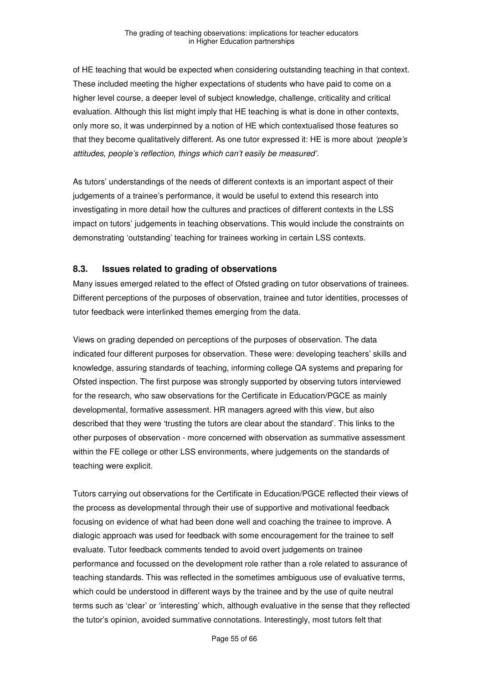of HE teaching that would be expected when considering outstanding teaching in that context. These included meeting the higher expectations of students who have paid to come on a higher level course, a deeper level of subject knowledge, challenge, criticality and critical evaluation. Although this list might imply that HE teaching is what is done in other contexts, only more so, it was underpinned by a notion of HE which contextualised those features so that they become qualitatively different. As one tutor expressed it: HE is more about 'people's attitudes, people's reflection, things which can't easily be measured'.

As tutors' understandings of the needs of different contexts is an important aspect of their judgements of a trainee's performance, it would be useful to extend this research into investigating in more detail how the cultures and practices of different contexts in the LSS impact on tutors' judgements in teaching observations. This would include the constraints on demonstrating 'outstanding' teaching for trainees working in certain LSS contexts.

#### **8.3. Issues related to grading of observations**

Many issues emerged related to the effect of Ofsted grading on tutor observations of trainees. Different perceptions of the purposes of observation, trainee and tutor identities, processes of tutor feedback were interlinked themes emerging from the data.

Views on grading depended on perceptions of the purposes of observation. The data indicated four different purposes for observation. These were: developing teachers' skills and knowledge, assuring standards of teaching, informing college QA systems and preparing for Ofsted inspection. The first purpose was strongly supported by observing tutors interviewed for the research, who saw observations for the Certificate in Education/PGCE as mainly developmental, formative assessment. HR managers agreed with this view, but also described that they were 'trusting the tutors are clear about the standard'. This links to the other purposes of observation - more concerned with observation as summative assessment within the FE college or other LSS environments, where judgements on the standards of teaching were explicit.

Tutors carrying out observations for the Certificate in Education/PGCE reflected their views of the process as developmental through their use of supportive and motivational feedback focusing on evidence of what had been done well and coaching the trainee to improve. A dialogic approach was used for feedback with some encouragement for the trainee to self evaluate. Tutor feedback comments tended to avoid overt judgements on trainee performance and focussed on the development role rather than a role related to assurance of teaching standards. This was reflected in the sometimes ambiguous use of evaluative terms, which could be understood in different ways by the trainee and by the use of quite neutral terms such as 'clear' or 'interesting' which, although evaluative in the sense that they reflected the tutor's opinion, avoided summative connotations. Interestingly, most tutors felt that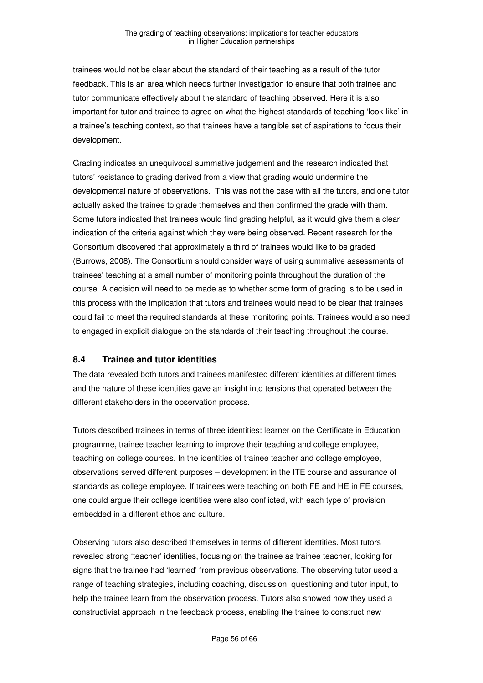trainees would not be clear about the standard of their teaching as a result of the tutor feedback. This is an area which needs further investigation to ensure that both trainee and tutor communicate effectively about the standard of teaching observed. Here it is also important for tutor and trainee to agree on what the highest standards of teaching 'look like' in a trainee's teaching context, so that trainees have a tangible set of aspirations to focus their development.

Grading indicates an unequivocal summative judgement and the research indicated that tutors' resistance to grading derived from a view that grading would undermine the developmental nature of observations. This was not the case with all the tutors, and one tutor actually asked the trainee to grade themselves and then confirmed the grade with them. Some tutors indicated that trainees would find grading helpful, as it would give them a clear indication of the criteria against which they were being observed. Recent research for the Consortium discovered that approximately a third of trainees would like to be graded (Burrows, 2008). The Consortium should consider ways of using summative assessments of trainees' teaching at a small number of monitoring points throughout the duration of the course. A decision will need to be made as to whether some form of grading is to be used in this process with the implication that tutors and trainees would need to be clear that trainees could fail to meet the required standards at these monitoring points. Trainees would also need to engaged in explicit dialogue on the standards of their teaching throughout the course.

# **8.4 Trainee and tutor identities**

The data revealed both tutors and trainees manifested different identities at different times and the nature of these identities gave an insight into tensions that operated between the different stakeholders in the observation process.

Tutors described trainees in terms of three identities: learner on the Certificate in Education programme, trainee teacher learning to improve their teaching and college employee, teaching on college courses. In the identities of trainee teacher and college employee, observations served different purposes – development in the ITE course and assurance of standards as college employee. If trainees were teaching on both FE and HE in FE courses, one could argue their college identities were also conflicted, with each type of provision embedded in a different ethos and culture.

Observing tutors also described themselves in terms of different identities. Most tutors revealed strong 'teacher' identities, focusing on the trainee as trainee teacher, looking for signs that the trainee had 'learned' from previous observations. The observing tutor used a range of teaching strategies, including coaching, discussion, questioning and tutor input, to help the trainee learn from the observation process. Tutors also showed how they used a constructivist approach in the feedback process, enabling the trainee to construct new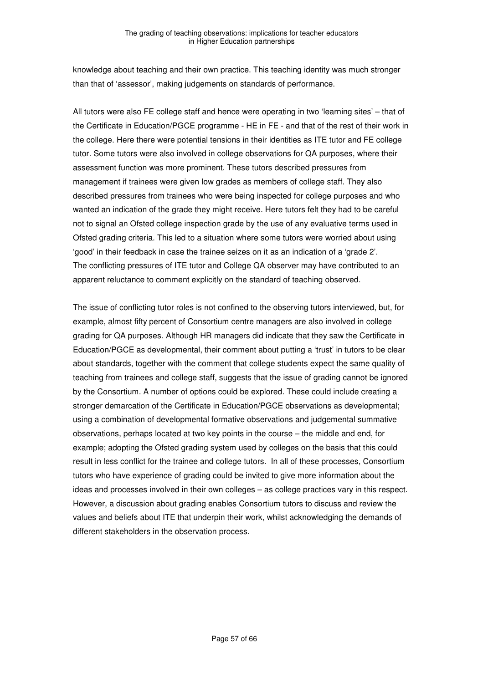knowledge about teaching and their own practice. This teaching identity was much stronger than that of 'assessor', making judgements on standards of performance.

All tutors were also FE college staff and hence were operating in two 'learning sites' – that of the Certificate in Education/PGCE programme - HE in FE - and that of the rest of their work in the college. Here there were potential tensions in their identities as ITE tutor and FE college tutor. Some tutors were also involved in college observations for QA purposes, where their assessment function was more prominent. These tutors described pressures from management if trainees were given low grades as members of college staff. They also described pressures from trainees who were being inspected for college purposes and who wanted an indication of the grade they might receive. Here tutors felt they had to be careful not to signal an Ofsted college inspection grade by the use of any evaluative terms used in Ofsted grading criteria. This led to a situation where some tutors were worried about using 'good' in their feedback in case the trainee seizes on it as an indication of a 'grade 2'. The conflicting pressures of ITE tutor and College QA observer may have contributed to an apparent reluctance to comment explicitly on the standard of teaching observed.

The issue of conflicting tutor roles is not confined to the observing tutors interviewed, but, for example, almost fifty percent of Consortium centre managers are also involved in college grading for QA purposes. Although HR managers did indicate that they saw the Certificate in Education/PGCE as developmental, their comment about putting a 'trust' in tutors to be clear about standards, together with the comment that college students expect the same quality of teaching from trainees and college staff, suggests that the issue of grading cannot be ignored by the Consortium. A number of options could be explored. These could include creating a stronger demarcation of the Certificate in Education/PGCE observations as developmental; using a combination of developmental formative observations and judgemental summative observations, perhaps located at two key points in the course – the middle and end, for example; adopting the Ofsted grading system used by colleges on the basis that this could result in less conflict for the trainee and college tutors. In all of these processes, Consortium tutors who have experience of grading could be invited to give more information about the ideas and processes involved in their own colleges – as college practices vary in this respect. However, a discussion about grading enables Consortium tutors to discuss and review the values and beliefs about ITE that underpin their work, whilst acknowledging the demands of different stakeholders in the observation process.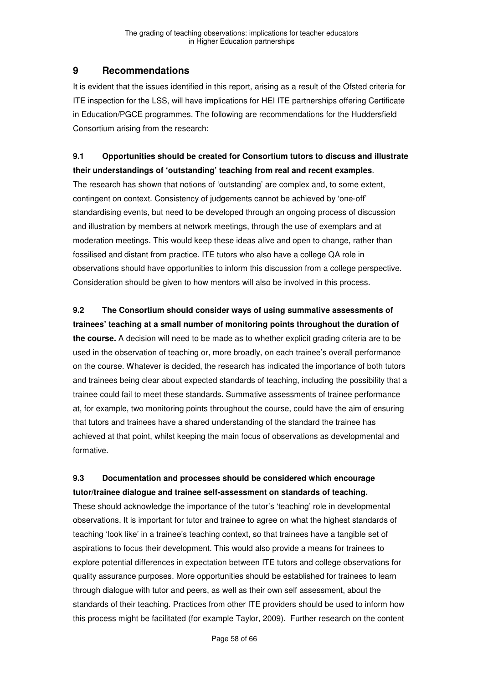# **9 Recommendations**

It is evident that the issues identified in this report, arising as a result of the Ofsted criteria for ITE inspection for the LSS, will have implications for HEI ITE partnerships offering Certificate in Education/PGCE programmes. The following are recommendations for the Huddersfield Consortium arising from the research:

# **9.1 Opportunities should be created for Consortium tutors to discuss and illustrate their understandings of 'outstanding' teaching from real and recent examples**.

The research has shown that notions of 'outstanding' are complex and, to some extent, contingent on context. Consistency of judgements cannot be achieved by 'one-off' standardising events, but need to be developed through an ongoing process of discussion and illustration by members at network meetings, through the use of exemplars and at moderation meetings. This would keep these ideas alive and open to change, rather than fossilised and distant from practice. ITE tutors who also have a college QA role in observations should have opportunities to inform this discussion from a college perspective. Consideration should be given to how mentors will also be involved in this process.

# **9.2 The Consortium should consider ways of using summative assessments of**

**trainees' teaching at a small number of monitoring points throughout the duration of the course.** A decision will need to be made as to whether explicit grading criteria are to be used in the observation of teaching or, more broadly, on each trainee's overall performance on the course. Whatever is decided, the research has indicated the importance of both tutors and trainees being clear about expected standards of teaching, including the possibility that a trainee could fail to meet these standards. Summative assessments of trainee performance at, for example, two monitoring points throughout the course, could have the aim of ensuring that tutors and trainees have a shared understanding of the standard the trainee has achieved at that point, whilst keeping the main focus of observations as developmental and formative.

# **9.3 Documentation and processes should be considered which encourage tutor/trainee dialogue and trainee self-assessment on standards of teaching.**

These should acknowledge the importance of the tutor's 'teaching' role in developmental observations. It is important for tutor and trainee to agree on what the highest standards of teaching 'look like' in a trainee's teaching context, so that trainees have a tangible set of aspirations to focus their development. This would also provide a means for trainees to explore potential differences in expectation between ITE tutors and college observations for quality assurance purposes. More opportunities should be established for trainees to learn through dialogue with tutor and peers, as well as their own self assessment, about the standards of their teaching. Practices from other ITE providers should be used to inform how this process might be facilitated (for example Taylor, 2009). Further research on the content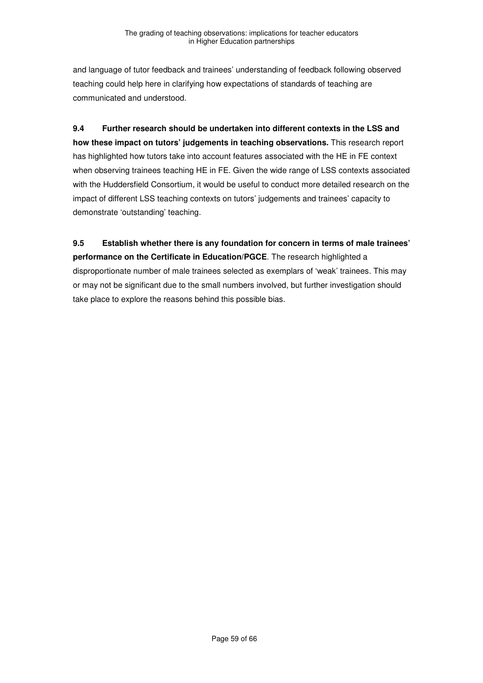and language of tutor feedback and trainees' understanding of feedback following observed teaching could help here in clarifying how expectations of standards of teaching are communicated and understood.

**9.4 Further research should be undertaken into different contexts in the LSS and how these impact on tutors' judgements in teaching observations.** This research report has highlighted how tutors take into account features associated with the HE in FE context when observing trainees teaching HE in FE. Given the wide range of LSS contexts associated with the Huddersfield Consortium, it would be useful to conduct more detailed research on the impact of different LSS teaching contexts on tutors' judgements and trainees' capacity to demonstrate 'outstanding' teaching.

**9.5 Establish whether there is any foundation for concern in terms of male trainees' performance on the Certificate in Education/PGCE**. The research highlighted a disproportionate number of male trainees selected as exemplars of 'weak' trainees. This may or may not be significant due to the small numbers involved, but further investigation should take place to explore the reasons behind this possible bias.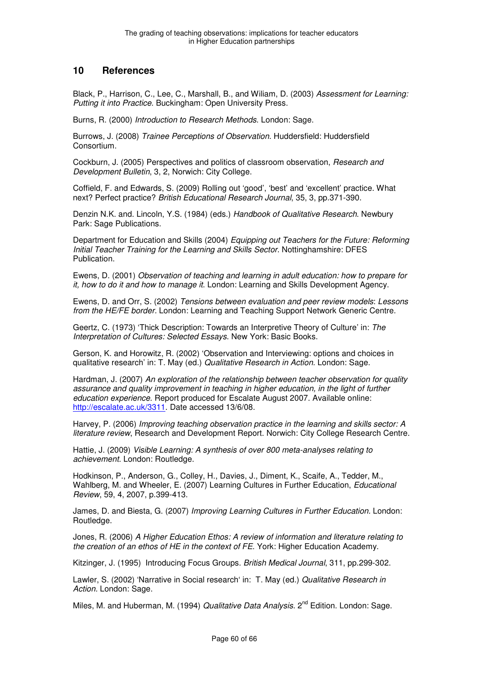# **10 References**

Black, P., Harrison, C., Lee, C., Marshall, B., and Wiliam, D. (2003) Assessment for Learning: Putting it into Practice. Buckingham: Open University Press.

Burns, R. (2000) Introduction to Research Methods. London: Sage.

Burrows, J. (2008) Trainee Perceptions of Observation. Huddersfield: Huddersfield Consortium.

Cockburn, J. (2005) Perspectives and politics of classroom observation, Research and Development Bulletin, 3, 2, Norwich: City College.

Coffield, F. and Edwards, S. (2009) Rolling out 'good', 'best' and 'excellent' practice. What next? Perfect practice? British Educational Research Journal, 35, 3, pp.371-390.

Denzin N.K. and. Lincoln, Y.S. (1984) (eds.) Handbook of Qualitative Research. Newbury Park: Sage Publications.

Department for Education and Skills (2004) Equipping out Teachers for the Future: Reforming Initial Teacher Training for the Learning and Skills Sector. Nottinghamshire: DFES Publication.

Ewens, D. (2001) Observation of teaching and learning in adult education: how to prepare for it, how to do it and how to manage it. London: Learning and Skills Development Agency.

Ewens, D. and Orr, S. (2002) Tensions between evaluation and peer review models: Lessons from the HE/FE border. London: Learning and Teaching Support Network Generic Centre.

Geertz, C. (1973) 'Thick Description: Towards an Interpretive Theory of Culture' in: The Interpretation of Cultures: Selected Essays. New York: Basic Books.

Gerson, K. and Horowitz, R. (2002) 'Observation and Interviewing: options and choices in qualitative research' in: T. May (ed.) Qualitative Research in Action. London: Sage.

Hardman, J. (2007) An exploration of the relationship between teacher observation for quality assurance and quality improvement in teaching in higher education, in the light of further education experience. Report produced for Escalate August 2007. Available online: http://escalate.ac.uk/3311. Date accessed 13/6/08.

Harvey, P. (2006) Improving teaching observation practice in the learning and skills sector: A literature review, Research and Development Report. Norwich: City College Research Centre.

Hattie, J. (2009) Visible Learning: A synthesis of over 800 meta-analyses relating to achievement. London: Routledge.

Hodkinson, P., Anderson, G., Colley, H., Davies, J., Diment, K., Scaife, A., Tedder, M., Wahlberg, M. and Wheeler, E. (2007) Learning Cultures in Further Education, *Educational* Review, 59, 4, 2007, p.399-413.

James, D. and Biesta, G. (2007) Improving Learning Cultures in Further Education. London: Routledge.

Jones, R. (2006) A Higher Education Ethos: A review of information and literature relating to the creation of an ethos of HE in the context of FE. York: Higher Education Academy.

Kitzinger, J. (1995) Introducing Focus Groups. British Medical Journal, 311, pp.299-302.

Lawler, S. (2002) 'Narrative in Social research' in: T. May (ed.) Qualitative Research in Action. London: Sage.

Miles, M. and Huberman, M. (1994) Qualitative Data Analysis, 2<sup>nd</sup> Edition, London: Sage.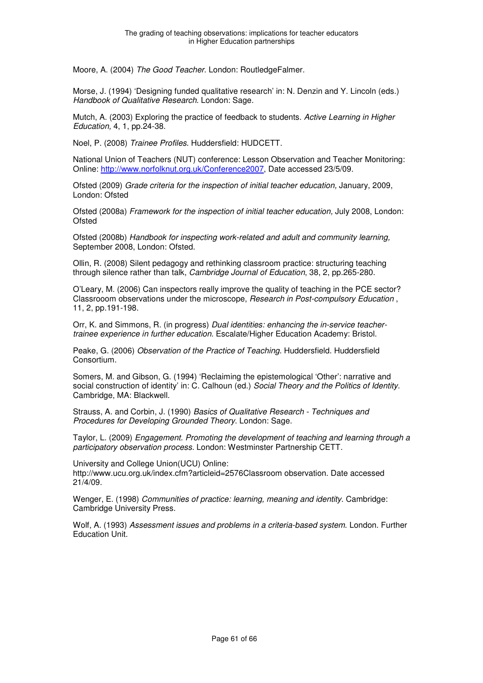Moore, A. (2004) The Good Teacher. London: RoutledgeFalmer.

Morse, J. (1994) 'Designing funded qualitative research' in: N. Denzin and Y. Lincoln (eds.) Handbook of Qualitative Research. London: Sage.

Mutch, A. (2003) Exploring the practice of feedback to students. Active Learning in Higher Education, 4, 1, pp.24-38.

Noel, P. (2008) Trainee Profiles. Huddersfield: HUDCETT.

National Union of Teachers (NUT) conference: Lesson Observation and Teacher Monitoring: Online: http://www.norfolknut.org.uk/Conference2007, Date accessed 23/5/09.

Ofsted (2009) Grade criteria for the inspection of initial teacher education, January, 2009, London: Ofsted

Ofsted (2008a) Framework for the inspection of initial teacher education, July 2008, London: **Ofsted** 

Ofsted (2008b) Handbook for inspecting work-related and adult and community learning, September 2008, London: Ofsted.

Ollin, R. (2008) Silent pedagogy and rethinking classroom practice: structuring teaching through silence rather than talk, Cambridge Journal of Education, 38, 2, pp.265-280.

O'Leary, M. (2006) Can inspectors really improve the quality of teaching in the PCE sector? Classrooom observations under the microscope, Research in Post-compulsory Education , 11, 2, pp.191-198.

Orr, K. and Simmons, R. (in progress) Dual identities: enhancing the in-service teachertrainee experience in further education. Escalate/Higher Education Academy: Bristol.

Peake, G. (2006) Observation of the Practice of Teaching. Huddersfield. Huddersfield Consortium.

Somers, M. and Gibson, G. (1994) 'Reclaiming the epistemological 'Other': narrative and social construction of identity' in: C. Calhoun (ed.) Social Theory and the Politics of Identity. Cambridge, MA: Blackwell.

Strauss, A. and Corbin, J. (1990) Basics of Qualitative Research - Techniques and Procedures for Developing Grounded Theory. London: Sage.

Taylor, L. (2009) Engagement. Promoting the development of teaching and learning through a participatory observation process. London: Westminster Partnership CETT.

University and College Union(UCU) Online: http://www.ucu.org.uk/index.cfm?articleid=2576Classroom observation. Date accessed 21/4/09.

Wenger, E. (1998) Communities of practice: learning, meaning and identity. Cambridge: Cambridge University Press.

Wolf, A. (1993) Assessment issues and problems in a criteria-based system. London. Further Education Unit.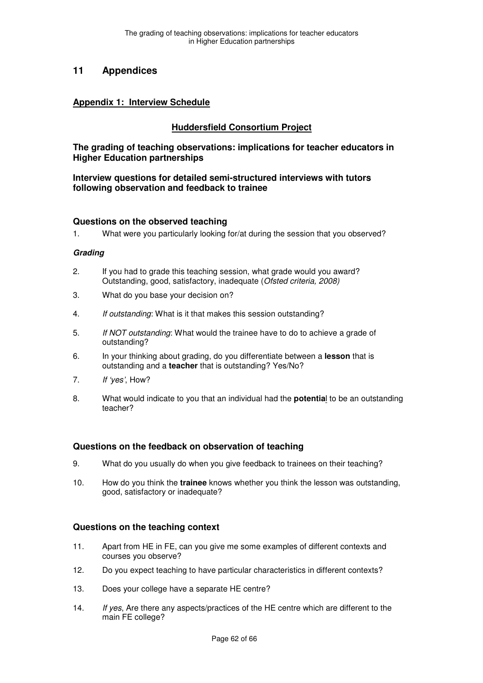# **11 Appendices**

#### **Appendix 1: Interview Schedule**

### **Huddersfield Consortium Project**

**The grading of teaching observations: implications for teacher educators in Higher Education partnerships** 

**Interview questions for detailed semi-structured interviews with tutors following observation and feedback to trainee** 

#### **Questions on the observed teaching**

1. What were you particularly looking for/at during the session that you observed?

#### **Grading**

- 2. If you had to grade this teaching session, what grade would you award? Outstanding, good, satisfactory, inadequate (Ofsted criteria, 2008)
- 3. What do you base your decision on?
- 4. If outstanding: What is it that makes this session outstanding?
- 5. If NOT outstanding: What would the trainee have to do to achieve a grade of outstanding?
- 6. In your thinking about grading, do you differentiate between a **lesson** that is outstanding and a **teacher** that is outstanding? Yes/No?
- 7. If 'yes', How?
- 8. What would indicate to you that an individual had the **potentia**l to be an outstanding teacher?

#### **Questions on the feedback on observation of teaching**

- 9. What do you usually do when you give feedback to trainees on their teaching?
- 10. How do you think the **trainee** knows whether you think the lesson was outstanding, good, satisfactory or inadequate?

#### **Questions on the teaching context**

- 11. Apart from HE in FE, can you give me some examples of different contexts and courses you observe?
- 12. Do you expect teaching to have particular characteristics in different contexts?
- 13. Does your college have a separate HE centre?
- 14. If yes, Are there any aspects/practices of the HE centre which are different to the main FE college?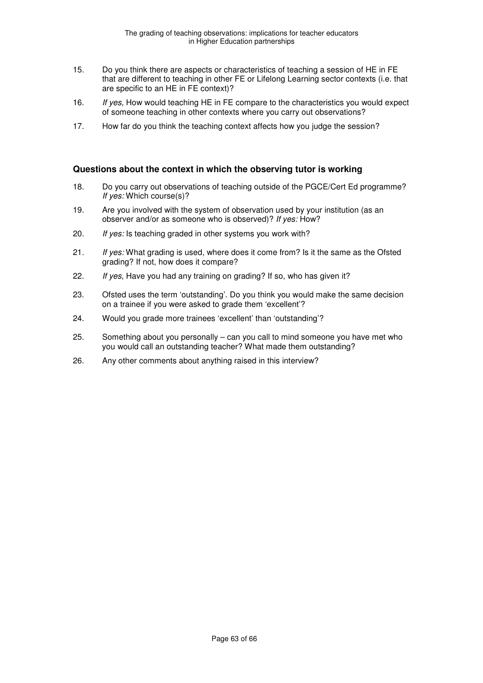- 15. Do you think there are aspects or characteristics of teaching a session of HE in FE that are different to teaching in other FE or Lifelong Learning sector contexts (i.e. that are specific to an HE in FE context)?
- 16. If yes, How would teaching HE in FE compare to the characteristics you would expect of someone teaching in other contexts where you carry out observations?
- 17. How far do you think the teaching context affects how you judge the session?

#### **Questions about the context in which the observing tutor is working**

- 18. Do you carry out observations of teaching outside of the PGCE/Cert Ed programme? If yes: Which course(s)?
- 19. Are you involved with the system of observation used by your institution (as an observer and/or as someone who is observed)? If yes: How?
- 20. If yes: Is teaching graded in other systems you work with?
- 21. If yes: What grading is used, where does it come from? Is it the same as the Ofsted grading? If not, how does it compare?
- 22. If yes, Have you had any training on grading? If so, who has given it?
- 23. Ofsted uses the term 'outstanding'. Do you think you would make the same decision on a trainee if you were asked to grade them 'excellent'?
- 24. Would you grade more trainees 'excellent' than 'outstanding'?
- 25. Something about you personally can you call to mind someone you have met who you would call an outstanding teacher? What made them outstanding?
- 26. Any other comments about anything raised in this interview?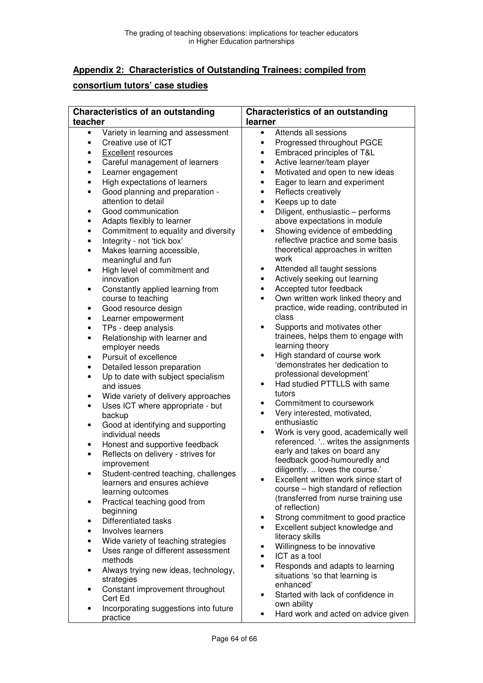# **Appendix 2: Characteristics of Outstanding Trainees: compiled from**

# **consortium tutors' case studies**

|                                                                 | <b>Characteristics of an outstanding</b>                                                                                                                                                                                                                                                   | <b>Characteristics of an outstanding</b>                                                                                                                                                                                                                                                                                                                                                    |  |
|-----------------------------------------------------------------|--------------------------------------------------------------------------------------------------------------------------------------------------------------------------------------------------------------------------------------------------------------------------------------------|---------------------------------------------------------------------------------------------------------------------------------------------------------------------------------------------------------------------------------------------------------------------------------------------------------------------------------------------------------------------------------------------|--|
| teacher                                                         |                                                                                                                                                                                                                                                                                            | learner                                                                                                                                                                                                                                                                                                                                                                                     |  |
| $\bullet$<br>$\bullet$<br>٠<br>٠<br>٠                           | Variety in learning and assessment<br>Creative use of ICT<br><b>Excellent</b> resources<br>Careful management of learners<br>Learner engagement                                                                                                                                            | Attends all sessions<br>$\bullet$<br>Progressed throughout PGCE<br>$\bullet$<br>Embraced principles of T&L<br>$\bullet$<br>Active learner/team player<br>$\bullet$<br>Motivated and open to new ideas<br>$\bullet$                                                                                                                                                                          |  |
| ٠<br>$\bullet$<br>٠<br>٠<br>$\bullet$<br>$\bullet$<br>$\bullet$ | High expectations of learners<br>Good planning and preparation -<br>attention to detail<br>Good communication<br>Adapts flexibly to learner<br>Commitment to equality and diversity<br>Integrity - not 'tick box'<br>Makes learning accessible,<br>meaningful and fun                      | Eager to learn and experiment<br>$\bullet$<br>Reflects creatively<br>$\bullet$<br>Keeps up to date<br>$\bullet$<br>Diligent, enthusiastic - performs<br>$\bullet$<br>above expectations in module<br>Showing evidence of embedding<br>$\bullet$<br>reflective practice and some basis<br>theoretical approaches in written<br>work                                                          |  |
| $\bullet$<br>$\bullet$<br>٠                                     | High level of commitment and<br>innovation<br>Constantly applied learning from<br>course to teaching<br>Good resource design                                                                                                                                                               | Attended all taught sessions<br>٠<br>Actively seeking out learning<br>$\bullet$<br>Accepted tutor feedback<br>$\bullet$<br>Own written work linked theory and<br>$\bullet$<br>practice, wide reading, contributed in                                                                                                                                                                        |  |
| ٠<br>٠<br>$\bullet$                                             | Learner empowerment<br>TPs - deep analysis<br>Relationship with learner and<br>employer needs<br>Pursuit of excellence                                                                                                                                                                     | class<br>Supports and motivates other<br>$\bullet$<br>trainees, helps them to engage with<br>learning theory<br>High standard of course work<br>$\bullet$                                                                                                                                                                                                                                   |  |
| ٠<br>$\bullet$<br>٠                                             | Detailed lesson preparation<br>Up to date with subject specialism<br>and issues<br>Wide variety of delivery approaches                                                                                                                                                                     | 'demonstrates her dedication to<br>professional development'<br>Had studied PTTLLS with same<br>$\bullet$<br>tutors                                                                                                                                                                                                                                                                         |  |
| $\bullet$<br>٠                                                  | Uses ICT where appropriate - but<br>backup<br>Good at identifying and supporting<br>individual needs                                                                                                                                                                                       | Commitment to coursework<br>٠<br>Very interested, motivated,<br>$\bullet$<br>enthusiastic<br>Work is very good, academically well<br>$\bullet$                                                                                                                                                                                                                                              |  |
| ٠<br>$\bullet$<br>$\bullet$                                     | Honest and supportive feedback<br>Reflects on delivery - strives for<br>improvement<br>Student-centred teaching, challenges                                                                                                                                                                | referenced. ' writes the assignments<br>early and takes on board any<br>feedback good-humouredly and<br>diligently.  loves the course.                                                                                                                                                                                                                                                      |  |
| ٠                                                               | learners and ensures achieve<br>learning outcomes<br>Practical teaching good from<br>beginning                                                                                                                                                                                             | Excellent written work since start of<br>course - high standard of reflection<br>(transferred from nurse training use<br>of reflection)                                                                                                                                                                                                                                                     |  |
| ٠<br>٠<br>$\bullet$<br>٠<br>$\bullet$<br>$\bullet$              | Differentiated tasks<br>Involves learners<br>Wide variety of teaching strategies<br>Uses range of different assessment<br>methods<br>Always trying new ideas, technology,<br>strategies<br>Constant improvement throughout<br>Cert Ed<br>Incorporating suggestions into future<br>practice | Strong commitment to good practice<br>٠<br>Excellent subject knowledge and<br>$\bullet$<br>literacy skills<br>Willingness to be innovative<br>٠<br>ICT as a tool<br>$\bullet$<br>Responds and adapts to learning<br>$\bullet$<br>situations 'so that learning is<br>enhanced'<br>Started with lack of confidence in<br>$\bullet$<br>own ability<br>Hard work and acted on advice given<br>٠ |  |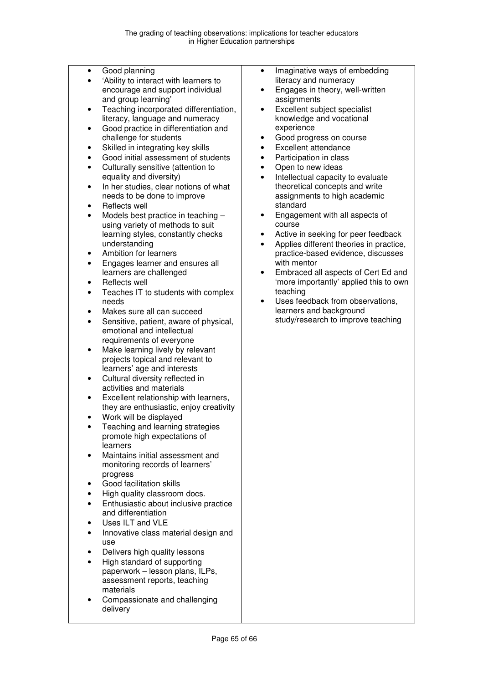- Good planning
- 'Ability to interact with learners to encourage and support individual and group learning'
- Teaching incorporated differentiation, literacy, language and numeracy
- Good practice in differentiation and challenge for students
- Skilled in integrating key skills
- Good initial assessment of students
- Culturally sensitive (attention to equality and diversity)
- In her studies, clear notions of what needs to be done to improve
- Reflects well
- Models best practice in teaching using variety of methods to suit learning styles, constantly checks understanding
- Ambition for learners
- Engages learner and ensures all learners are challenged
- Reflects well
- Teaches IT to students with complex needs
- Makes sure all can succeed
- Sensitive, patient, aware of physical, emotional and intellectual requirements of everyone
- Make learning lively by relevant projects topical and relevant to learners' age and interests
- Cultural diversity reflected in activities and materials
- Excellent relationship with learners, they are enthusiastic, enjoy creativity
- Work will be displayed
- Teaching and learning strategies promote high expectations of learners
- Maintains initial assessment and monitoring records of learners' progress
- Good facilitation skills
- High quality classroom docs.
- Enthusiastic about inclusive practice and differentiation
- Uses ILT and VLE
- Innovative class material design and use
- Delivers high quality lessons
- High standard of supporting paperwork – lesson plans, ILPs, assessment reports, teaching materials
- Compassionate and challenging delivery
- Imaginative ways of embedding literacy and numeracy
- Engages in theory, well-written assignments
- Excellent subject specialist knowledge and vocational experience
- Good progress on course
- Excellent attendance
- Participation in class
- Open to new ideas
- Intellectual capacity to evaluate theoretical concepts and write assignments to high academic standard
- Engagement with all aspects of course
- Active in seeking for peer feedback
- Applies different theories in practice, practice-based evidence, discusses with mentor
- Embraced all aspects of Cert Ed and 'more importantly' applied this to own teaching
- Uses feedback from observations, learners and background study/research to improve teaching